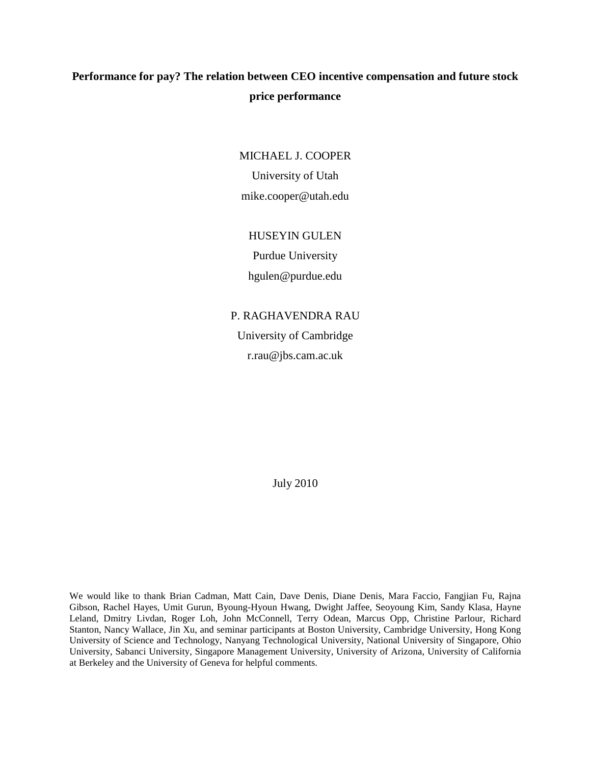# **Performance for pay? The relation between CEO incentive compensation and future stock price performance**

MICHAEL J. COOPER

University of Utah mike.cooper@utah.edu

## HUSEYIN GULEN

Purdue University

hgulen@purdue.edu

P. RAGHAVENDRA RAU University of Cambridge r.rau@jbs.cam.ac.uk

July 2010

We would like to thank Brian Cadman, Matt Cain, Dave Denis, Diane Denis, Mara Faccio, Fangjian Fu, Rajna Gibson, Rachel Hayes, Umit Gurun, Byoung-Hyoun Hwang, Dwight Jaffee, Seoyoung Kim, Sandy Klasa, Hayne Leland, Dmitry Livdan, Roger Loh, John McConnell, Terry Odean, Marcus Opp, Christine Parlour, Richard Stanton, Nancy Wallace, Jin Xu, and seminar participants at Boston University, Cambridge University, Hong Kong University of Science and Technology, Nanyang Technological University, National University of Singapore, Ohio University, Sabanci University, Singapore Management University, University of Arizona, University of California at Berkeley and the University of Geneva for helpful comments.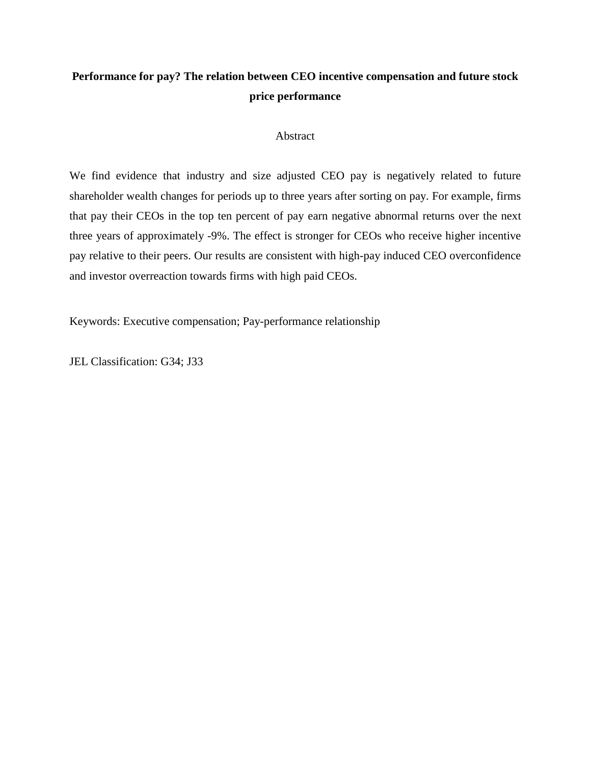# **Performance for pay? The relation between CEO incentive compensation and future stock price performance**

## Abstract

We find evidence that industry and size adjusted CEO pay is negatively related to future shareholder wealth changes for periods up to three years after sorting on pay. For example, firms that pay their CEOs in the top ten percent of pay earn negative abnormal returns over the next three years of approximately -9%. The effect is stronger for CEOs who receive higher incentive pay relative to their peers. Our results are consistent with high-pay induced CEO overconfidence and investor overreaction towards firms with high paid CEOs.

Keywords: Executive compensation; Pay-performance relationship

JEL Classification: G34; J33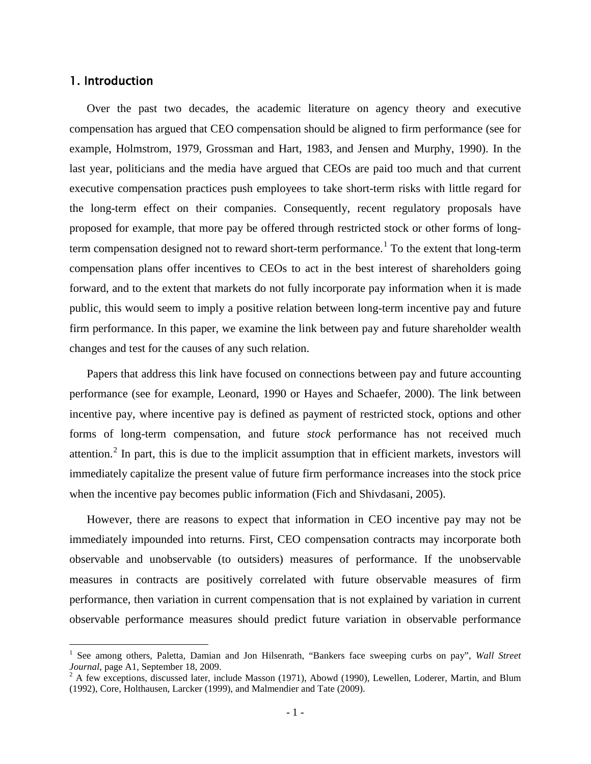## 1. Introduction

Over the past two decades, the academic literature on agency theory and executive compensation has argued that CEO compensation should be aligned to firm performance (see for example, Holmstrom, 1979, Grossman and Hart, 1983, and Jensen and Murphy, 1990). In the last year, politicians and the media have argued that CEOs are paid too much and that current executive compensation practices push employees to take short-term risks with little regard for the long-term effect on their companies. Consequently, recent regulatory proposals have proposed for example, that more pay be offered through restricted stock or other forms of long-term compensation designed not to reward short-term performance.<sup>[1](#page-2-0)</sup> To the extent that long-term compensation plans offer incentives to CEOs to act in the best interest of shareholders going forward, and to the extent that markets do not fully incorporate pay information when it is made public, this would seem to imply a positive relation between long-term incentive pay and future firm performance. In this paper, we examine the link between pay and future shareholder wealth changes and test for the causes of any such relation.

Papers that address this link have focused on connections between pay and future accounting performance (see for example, Leonard, 1990 or Hayes and Schaefer, 2000). The link between incentive pay, where incentive pay is defined as payment of restricted stock, options and other forms of long-term compensation, and future *stock* performance has not received much attention.<sup>[2](#page-2-1)</sup> In part, this is due to the implicit assumption that in efficient markets, investors will immediately capitalize the present value of future firm performance increases into the stock price when the incentive pay becomes public information (Fich and Shivdasani, 2005).

However, there are reasons to expect that information in CEO incentive pay may not be immediately impounded into returns. First, CEO compensation contracts may incorporate both observable and unobservable (to outsiders) measures of performance. If the unobservable measures in contracts are positively correlated with future observable measures of firm performance, then variation in current compensation that is not explained by variation in current observable performance measures should predict future variation in observable performance

<span id="page-2-0"></span> <sup>1</sup> See among others, Paletta, Damian and Jon Hilsenrath, "Bankers face sweeping curbs on pay", *Wall Street Journal*, page A1, September 18, 2009.<br><sup>2</sup> A few exceptions, discussed later, include Masson (1971), Abowd (1990), Lewellen, Loderer, Martin, and Blum

<span id="page-2-1"></span><sup>(1992),</sup> Core, Holthausen, Larcker (1999), and Malmendier and Tate (2009).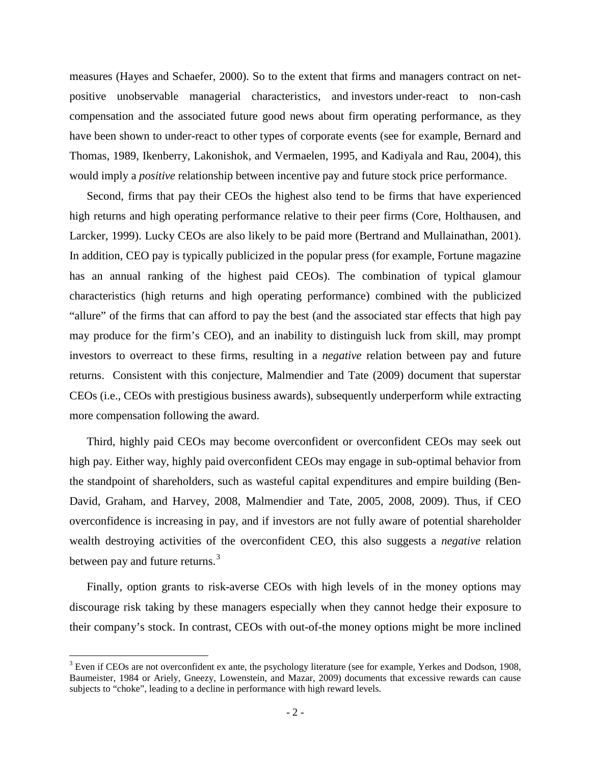measures (Hayes and Schaefer, 2000). So to the extent that firms and managers contract on netpositive unobservable managerial characteristics, and investors under-react to non-cash compensation and the associated future good news about firm operating performance, as they have been shown to under-react to other types of corporate events (see for example, Bernard and Thomas, 1989, Ikenberry, Lakonishok, and Vermaelen, 1995, and Kadiyala and Rau, 2004), this would imply a *positive* relationship between incentive pay and future stock price performance.

Second, firms that pay their CEOs the highest also tend to be firms that have experienced high returns and high operating performance relative to their peer firms (Core, Holthausen, and Larcker, 1999). Lucky CEOs are also likely to be paid more (Bertrand and Mullainathan, 2001). In addition, CEO pay is typically publicized in the popular press (for example, Fortune magazine has an annual ranking of the highest paid CEOs). The combination of typical glamour characteristics (high returns and high operating performance) combined with the publicized "allure" of the firms that can afford to pay the best (and the associated star effects that high pay may produce for the firm's CEO), and an inability to distinguish luck from skill, may prompt investors to overreact to these firms, resulting in a *negative* relation between pay and future returns. Consistent with this conjecture, Malmendier and Tate (2009) document that superstar CEOs (i.e., CEOs with prestigious business awards), subsequently underperform while extracting more compensation following the award.

Third, highly paid CEOs may become overconfident or overconfident CEOs may seek out high pay. Either way, highly paid overconfident CEOs may engage in sub-optimal behavior from the standpoint of shareholders, such as wasteful capital expenditures and empire building (Ben-David, Graham, and Harvey, 2008, Malmendier and Tate, 2005, 2008, 2009). Thus, if CEO overconfidence is increasing in pay, and if investors are not fully aware of potential shareholder wealth destroying activities of the overconfident CEO, this also suggests a *negative* relation between pay and future returns.<sup>[3](#page-3-0)</sup>

Finally, option grants to risk-averse CEOs with high levels of in the money options may discourage risk taking by these managers especially when they cannot hedge their exposure to their company's stock. In contrast, CEOs with out-of-the money options might be more inclined

<span id="page-3-0"></span> $3$  Even if CEOs are not overconfident ex ante, the psychology literature (see for example, Yerkes and Dodson, 1908, Baumeister, 1984 or Ariely, Gneezy, Lowenstein, and Mazar, 2009) documents that excessive rewards can cause subjects to "choke", leading to a decline in performance with high reward levels.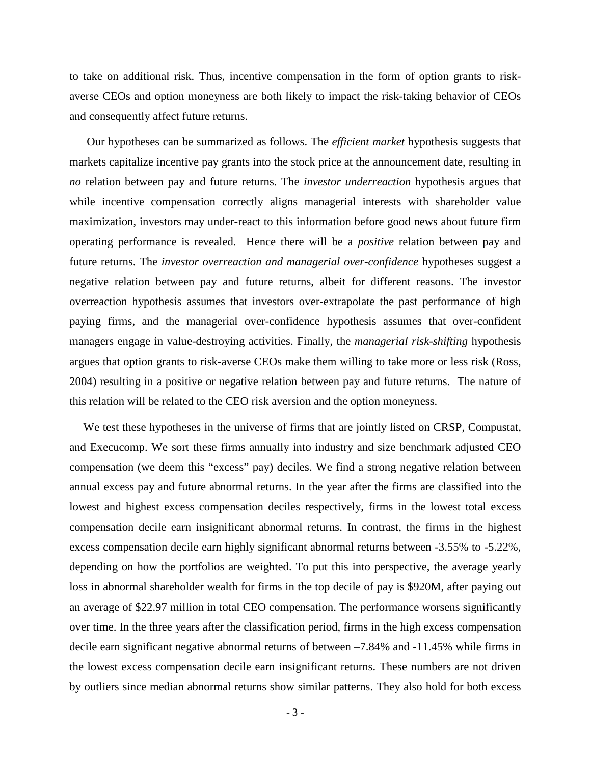to take on additional risk. Thus, incentive compensation in the form of option grants to riskaverse CEOs and option moneyness are both likely to impact the risk-taking behavior of CEOs and consequently affect future returns.

Our hypotheses can be summarized as follows. The *efficient market* hypothesis suggests that markets capitalize incentive pay grants into the stock price at the announcement date, resulting in *no* relation between pay and future returns. The *investor underreaction* hypothesis argues that while incentive compensation correctly aligns managerial interests with shareholder value maximization, investors may under-react to this information before good news about future firm operating performance is revealed. Hence there will be a *positive* relation between pay and future returns. The *investor overreaction and managerial over-confidence* hypotheses suggest a negative relation between pay and future returns, albeit for different reasons. The investor overreaction hypothesis assumes that investors over-extrapolate the past performance of high paying firms, and the managerial over-confidence hypothesis assumes that over-confident managers engage in value-destroying activities. Finally, the *managerial risk-shifting* hypothesis argues that option grants to risk-averse CEOs make them willing to take more or less risk (Ross, 2004) resulting in a positive or negative relation between pay and future returns. The nature of this relation will be related to the CEO risk aversion and the option moneyness.

We test these hypotheses in the universe of firms that are jointly listed on CRSP, Compustat, and Execucomp. We sort these firms annually into industry and size benchmark adjusted CEO compensation (we deem this "excess" pay) deciles. We find a strong negative relation between annual excess pay and future abnormal returns. In the year after the firms are classified into the lowest and highest excess compensation deciles respectively, firms in the lowest total excess compensation decile earn insignificant abnormal returns. In contrast, the firms in the highest excess compensation decile earn highly significant abnormal returns between -3.55% to -5.22%, depending on how the portfolios are weighted. To put this into perspective, the average yearly loss in abnormal shareholder wealth for firms in the top decile of pay is \$920M, after paying out an average of \$22.97 million in total CEO compensation. The performance worsens significantly over time. In the three years after the classification period, firms in the high excess compensation decile earn significant negative abnormal returns of between –7.84% and -11.45% while firms in the lowest excess compensation decile earn insignificant returns. These numbers are not driven by outliers since median abnormal returns show similar patterns. They also hold for both excess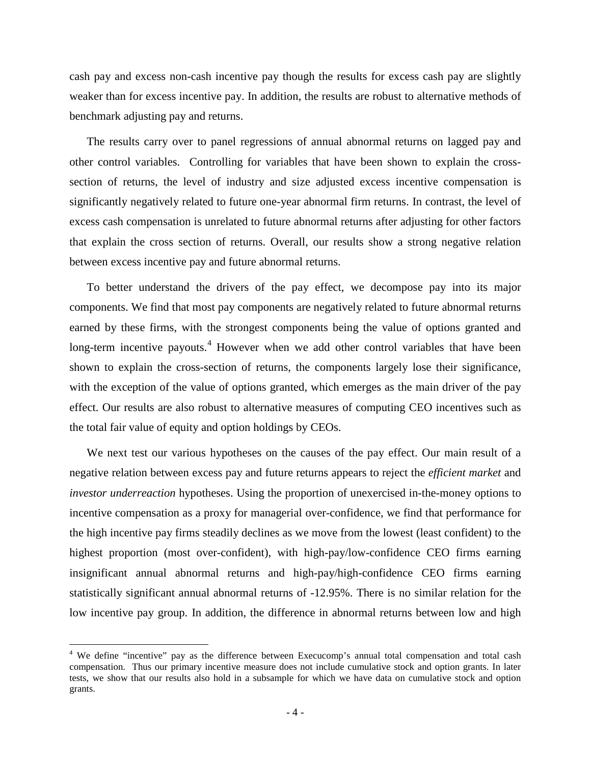cash pay and excess non-cash incentive pay though the results for excess cash pay are slightly weaker than for excess incentive pay. In addition, the results are robust to alternative methods of benchmark adjusting pay and returns.

The results carry over to panel regressions of annual abnormal returns on lagged pay and other control variables. Controlling for variables that have been shown to explain the crosssection of returns, the level of industry and size adjusted excess incentive compensation is significantly negatively related to future one-year abnormal firm returns. In contrast, the level of excess cash compensation is unrelated to future abnormal returns after adjusting for other factors that explain the cross section of returns. Overall, our results show a strong negative relation between excess incentive pay and future abnormal returns.

To better understand the drivers of the pay effect, we decompose pay into its major components. We find that most pay components are negatively related to future abnormal returns earned by these firms, with the strongest components being the value of options granted and long-term incentive payouts.<sup>[4](#page-5-0)</sup> However when we add other control variables that have been shown to explain the cross-section of returns, the components largely lose their significance, with the exception of the value of options granted, which emerges as the main driver of the pay effect. Our results are also robust to alternative measures of computing CEO incentives such as the total fair value of equity and option holdings by CEOs.

We next test our various hypotheses on the causes of the pay effect. Our main result of a negative relation between excess pay and future returns appears to reject the *efficient market* and *investor underreaction* hypotheses. Using the proportion of unexercised in-the-money options to incentive compensation as a proxy for managerial over-confidence, we find that performance for the high incentive pay firms steadily declines as we move from the lowest (least confident) to the highest proportion (most over-confident), with high-pay/low-confidence CEO firms earning insignificant annual abnormal returns and high-pay/high-confidence CEO firms earning statistically significant annual abnormal returns of -12.95%. There is no similar relation for the low incentive pay group. In addition, the difference in abnormal returns between low and high

<span id="page-5-0"></span><sup>&</sup>lt;sup>4</sup> We define "incentive" pay as the difference between Execucomp's annual total compensation and total cash compensation. Thus our primary incentive measure does not include cumulative stock and option grants. In later tests, we show that our results also hold in a subsample for which we have data on cumulative stock and option grants.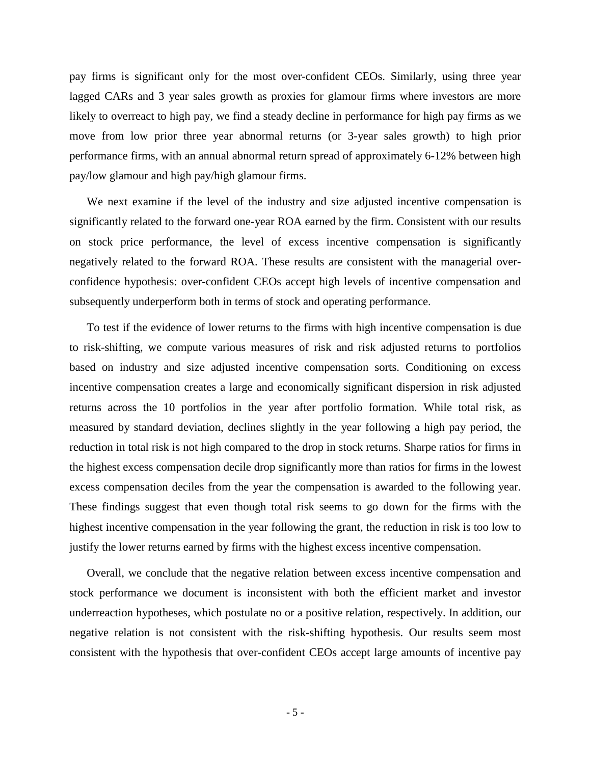pay firms is significant only for the most over-confident CEOs. Similarly, using three year lagged CARs and 3 year sales growth as proxies for glamour firms where investors are more likely to overreact to high pay, we find a steady decline in performance for high pay firms as we move from low prior three year abnormal returns (or 3-year sales growth) to high prior performance firms, with an annual abnormal return spread of approximately 6-12% between high pay/low glamour and high pay/high glamour firms.

We next examine if the level of the industry and size adjusted incentive compensation is significantly related to the forward one-year ROA earned by the firm. Consistent with our results on stock price performance, the level of excess incentive compensation is significantly negatively related to the forward ROA. These results are consistent with the managerial overconfidence hypothesis: over-confident CEOs accept high levels of incentive compensation and subsequently underperform both in terms of stock and operating performance.

To test if the evidence of lower returns to the firms with high incentive compensation is due to risk-shifting, we compute various measures of risk and risk adjusted returns to portfolios based on industry and size adjusted incentive compensation sorts. Conditioning on excess incentive compensation creates a large and economically significant dispersion in risk adjusted returns across the 10 portfolios in the year after portfolio formation. While total risk, as measured by standard deviation, declines slightly in the year following a high pay period, the reduction in total risk is not high compared to the drop in stock returns. Sharpe ratios for firms in the highest excess compensation decile drop significantly more than ratios for firms in the lowest excess compensation deciles from the year the compensation is awarded to the following year. These findings suggest that even though total risk seems to go down for the firms with the highest incentive compensation in the year following the grant, the reduction in risk is too low to justify the lower returns earned by firms with the highest excess incentive compensation.

Overall, we conclude that the negative relation between excess incentive compensation and stock performance we document is inconsistent with both the efficient market and investor underreaction hypotheses, which postulate no or a positive relation, respectively. In addition, our negative relation is not consistent with the risk-shifting hypothesis. Our results seem most consistent with the hypothesis that over-confident CEOs accept large amounts of incentive pay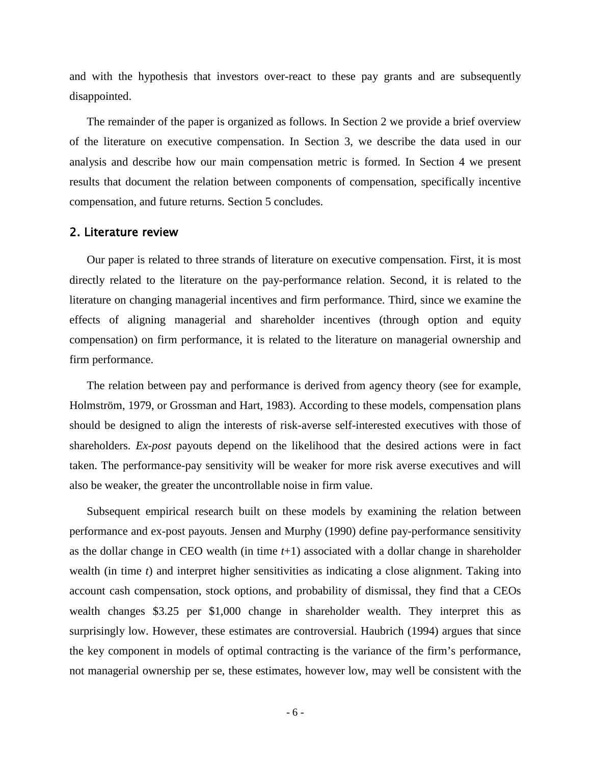and with the hypothesis that investors over-react to these pay grants and are subsequently disappointed.

The remainder of the paper is organized as follows. In Section 2 we provide a brief overview of the literature on executive compensation. In Section 3, we describe the data used in our analysis and describe how our main compensation metric is formed. In Section 4 we present results that document the relation between components of compensation, specifically incentive compensation, and future returns. Section 5 concludes.

## 2. Literature review

Our paper is related to three strands of literature on executive compensation. First, it is most directly related to the literature on the pay-performance relation. Second, it is related to the literature on changing managerial incentives and firm performance. Third, since we examine the effects of aligning managerial and shareholder incentives (through option and equity compensation) on firm performance, it is related to the literature on managerial ownership and firm performance.

The relation between pay and performance is derived from agency theory (see for example, Holmström, 1979, or Grossman and Hart, 1983). According to these models, compensation plans should be designed to align the interests of risk-averse self-interested executives with those of shareholders. *Ex-post* payouts depend on the likelihood that the desired actions were in fact taken. The performance-pay sensitivity will be weaker for more risk averse executives and will also be weaker, the greater the uncontrollable noise in firm value.

Subsequent empirical research built on these models by examining the relation between performance and ex-post payouts. Jensen and Murphy (1990) define pay-performance sensitivity as the dollar change in CEO wealth (in time *t*+1) associated with a dollar change in shareholder wealth (in time *t*) and interpret higher sensitivities as indicating a close alignment. Taking into account cash compensation, stock options, and probability of dismissal, they find that a CEOs wealth changes \$3.25 per \$1,000 change in shareholder wealth. They interpret this as surprisingly low. However, these estimates are controversial. Haubrich (1994) argues that since the key component in models of optimal contracting is the variance of the firm's performance, not managerial ownership per se, these estimates, however low, may well be consistent with the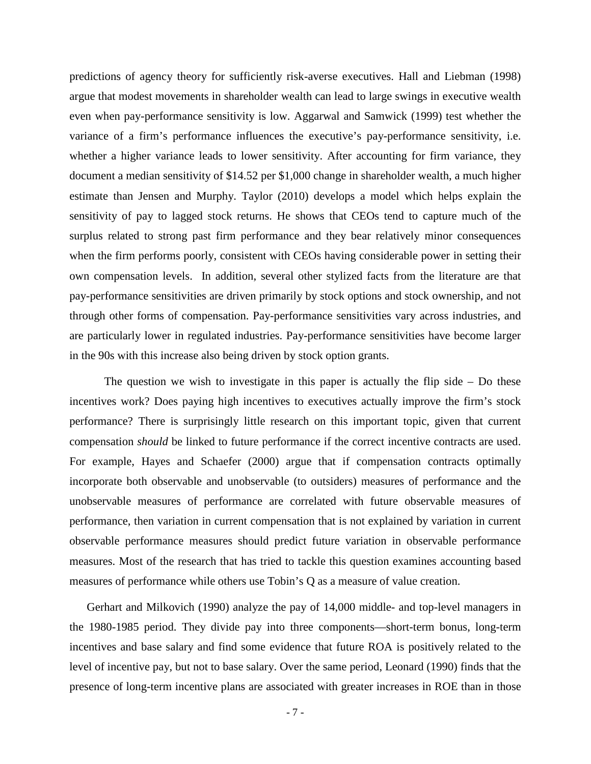predictions of agency theory for sufficiently risk-averse executives. Hall and Liebman (1998) argue that modest movements in shareholder wealth can lead to large swings in executive wealth even when pay-performance sensitivity is low. Aggarwal and Samwick (1999) test whether the variance of a firm's performance influences the executive's pay-performance sensitivity, i.e. whether a higher variance leads to lower sensitivity. After accounting for firm variance, they document a median sensitivity of \$14.52 per \$1,000 change in shareholder wealth, a much higher estimate than Jensen and Murphy. Taylor (2010) develops a model which helps explain the sensitivity of pay to lagged stock returns. He shows that CEOs tend to capture much of the surplus related to strong past firm performance and they bear relatively minor consequences when the firm performs poorly, consistent with CEOs having considerable power in setting their own compensation levels. In addition, several other stylized facts from the literature are that pay-performance sensitivities are driven primarily by stock options and stock ownership, and not through other forms of compensation. Pay-performance sensitivities vary across industries, and are particularly lower in regulated industries. Pay-performance sensitivities have become larger in the 90s with this increase also being driven by stock option grants.

The question we wish to investigate in this paper is actually the flip side  $-$  Do these incentives work? Does paying high incentives to executives actually improve the firm's stock performance? There is surprisingly little research on this important topic, given that current compensation *should* be linked to future performance if the correct incentive contracts are used. For example, Hayes and Schaefer (2000) argue that if compensation contracts optimally incorporate both observable and unobservable (to outsiders) measures of performance and the unobservable measures of performance are correlated with future observable measures of performance, then variation in current compensation that is not explained by variation in current observable performance measures should predict future variation in observable performance measures. Most of the research that has tried to tackle this question examines accounting based measures of performance while others use Tobin's Q as a measure of value creation.

Gerhart and Milkovich (1990) analyze the pay of 14,000 middle- and top-level managers in the 1980-1985 period. They divide pay into three components—short-term bonus, long-term incentives and base salary and find some evidence that future ROA is positively related to the level of incentive pay, but not to base salary. Over the same period, Leonard (1990) finds that the presence of long-term incentive plans are associated with greater increases in ROE than in those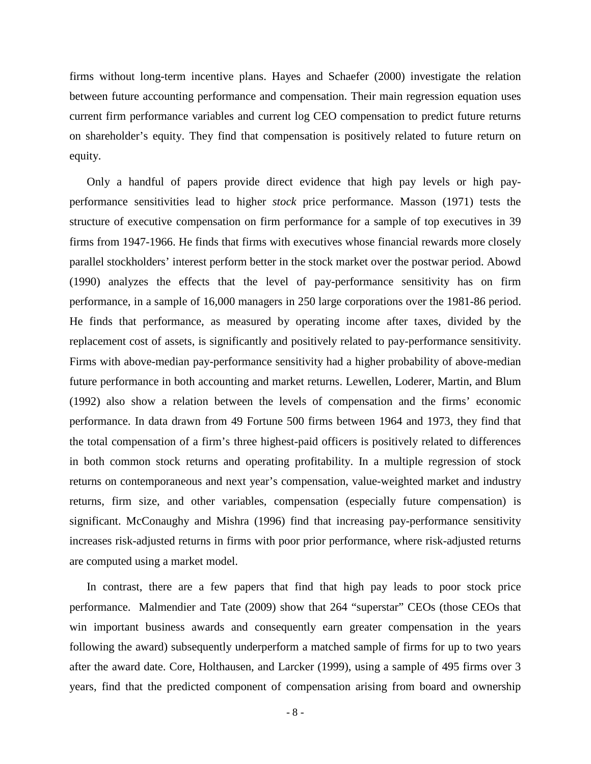firms without long-term incentive plans. Hayes and Schaefer (2000) investigate the relation between future accounting performance and compensation. Their main regression equation uses current firm performance variables and current log CEO compensation to predict future returns on shareholder's equity. They find that compensation is positively related to future return on equity.

Only a handful of papers provide direct evidence that high pay levels or high payperformance sensitivities lead to higher *stock* price performance. Masson (1971) tests the structure of executive compensation on firm performance for a sample of top executives in 39 firms from 1947-1966. He finds that firms with executives whose financial rewards more closely parallel stockholders' interest perform better in the stock market over the postwar period. Abowd (1990) analyzes the effects that the level of pay-performance sensitivity has on firm performance, in a sample of 16,000 managers in 250 large corporations over the 1981-86 period. He finds that performance, as measured by operating income after taxes, divided by the replacement cost of assets, is significantly and positively related to pay-performance sensitivity. Firms with above-median pay-performance sensitivity had a higher probability of above-median future performance in both accounting and market returns. Lewellen, Loderer, Martin, and Blum (1992) also show a relation between the levels of compensation and the firms' economic performance. In data drawn from 49 Fortune 500 firms between 1964 and 1973, they find that the total compensation of a firm's three highest-paid officers is positively related to differences in both common stock returns and operating profitability. In a multiple regression of stock returns on contemporaneous and next year's compensation, value-weighted market and industry returns, firm size, and other variables, compensation (especially future compensation) is significant. McConaughy and Mishra (1996) find that increasing pay-performance sensitivity increases risk-adjusted returns in firms with poor prior performance, where risk-adjusted returns are computed using a market model.

In contrast, there are a few papers that find that high pay leads to poor stock price performance. Malmendier and Tate (2009) show that 264 "superstar" CEOs (those CEOs that win important business awards and consequently earn greater compensation in the years following the award) subsequently underperform a matched sample of firms for up to two years after the award date. Core, Holthausen, and Larcker (1999), using a sample of 495 firms over 3 years, find that the predicted component of compensation arising from board and ownership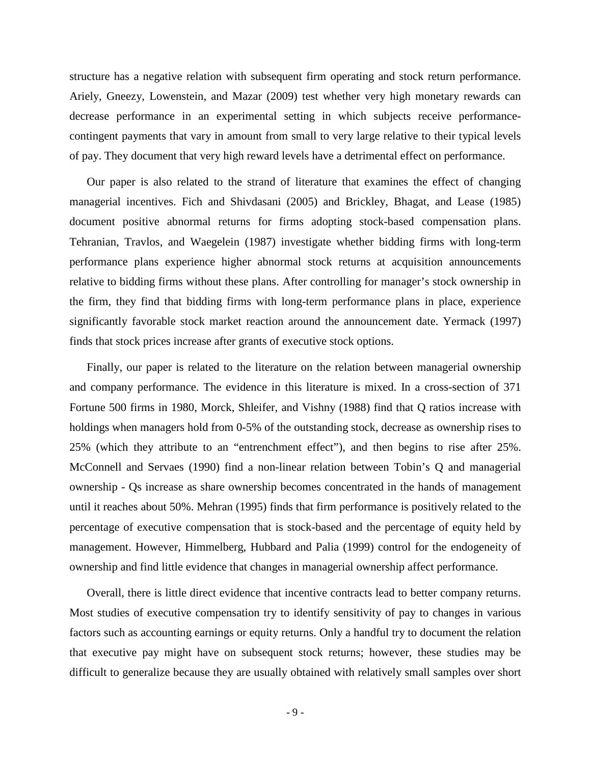structure has a negative relation with subsequent firm operating and stock return performance. Ariely, Gneezy, Lowenstein, and Mazar (2009) test whether very high monetary rewards can decrease performance in an experimental setting in which subjects receive performancecontingent payments that vary in amount from small to very large relative to their typical levels of pay. They document that very high reward levels have a detrimental effect on performance.

Our paper is also related to the strand of literature that examines the effect of changing managerial incentives. Fich and Shivdasani (2005) and Brickley, Bhagat, and Lease (1985) document positive abnormal returns for firms adopting stock-based compensation plans. Tehranian, Travlos, and Waegelein (1987) investigate whether bidding firms with long-term performance plans experience higher abnormal stock returns at acquisition announcements relative to bidding firms without these plans. After controlling for manager's stock ownership in the firm, they find that bidding firms with long-term performance plans in place, experience significantly favorable stock market reaction around the announcement date. Yermack (1997) finds that stock prices increase after grants of executive stock options.

Finally, our paper is related to the literature on the relation between managerial ownership and company performance. The evidence in this literature is mixed. In a cross-section of 371 Fortune 500 firms in 1980, Morck, Shleifer, and Vishny (1988) find that Q ratios increase with holdings when managers hold from 0-5% of the outstanding stock, decrease as ownership rises to 25% (which they attribute to an "entrenchment effect"), and then begins to rise after 25%. McConnell and Servaes (1990) find a non-linear relation between Tobin's Q and managerial ownership - Qs increase as share ownership becomes concentrated in the hands of management until it reaches about 50%. Mehran (1995) finds that firm performance is positively related to the percentage of executive compensation that is stock-based and the percentage of equity held by management. However, Himmelberg, Hubbard and Palia (1999) control for the endogeneity of ownership and find little evidence that changes in managerial ownership affect performance.

Overall, there is little direct evidence that incentive contracts lead to better company returns. Most studies of executive compensation try to identify sensitivity of pay to changes in various factors such as accounting earnings or equity returns. Only a handful try to document the relation that executive pay might have on subsequent stock returns; however, these studies may be difficult to generalize because they are usually obtained with relatively small samples over short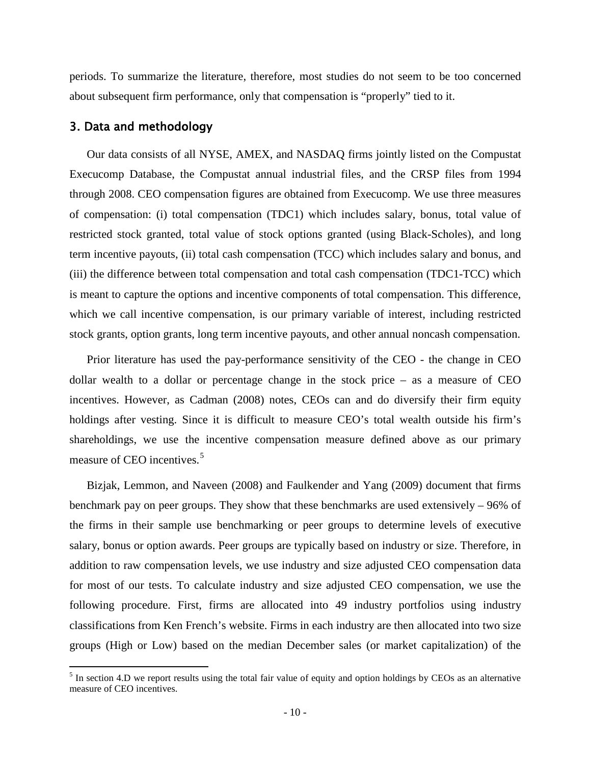periods. To summarize the literature, therefore, most studies do not seem to be too concerned about subsequent firm performance, only that compensation is "properly" tied to it.

## 3. Data and methodology

Our data consists of all NYSE, AMEX, and NASDAQ firms jointly listed on the Compustat Execucomp Database, the Compustat annual industrial files, and the CRSP files from 1994 through 2008. CEO compensation figures are obtained from Execucomp. We use three measures of compensation: (i) total compensation (TDC1) which includes salary, bonus, total value of restricted stock granted, total value of stock options granted (using Black-Scholes), and long term incentive payouts, (ii) total cash compensation (TCC) which includes salary and bonus, and (iii) the difference between total compensation and total cash compensation (TDC1-TCC) which is meant to capture the options and incentive components of total compensation. This difference, which we call incentive compensation, is our primary variable of interest, including restricted stock grants, option grants, long term incentive payouts, and other annual noncash compensation.

Prior literature has used the pay-performance sensitivity of the CEO - the change in CEO dollar wealth to a dollar or percentage change in the stock price – as a measure of CEO incentives. However, as Cadman (2008) notes, CEOs can and do diversify their firm equity holdings after vesting. Since it is difficult to measure CEO's total wealth outside his firm's shareholdings, we use the incentive compensation measure defined above as our primary measure of CEO incentives.<sup>[5](#page-11-0)</sup>

Bizjak, Lemmon, and Naveen (2008) and Faulkender and Yang (2009) document that firms benchmark pay on peer groups. They show that these benchmarks are used extensively – 96% of the firms in their sample use benchmarking or peer groups to determine levels of executive salary, bonus or option awards. Peer groups are typically based on industry or size. Therefore, in addition to raw compensation levels, we use industry and size adjusted CEO compensation data for most of our tests. To calculate industry and size adjusted CEO compensation, we use the following procedure. First, firms are allocated into 49 industry portfolios using industry classifications from Ken French's website. Firms in each industry are then allocated into two size groups (High or Low) based on the median December sales (or market capitalization) of the

<span id="page-11-0"></span> $<sup>5</sup>$  In section 4.D we report results using the total fair value of equity and option holdings by CEOs as an alternative</sup> measure of CEO incentives.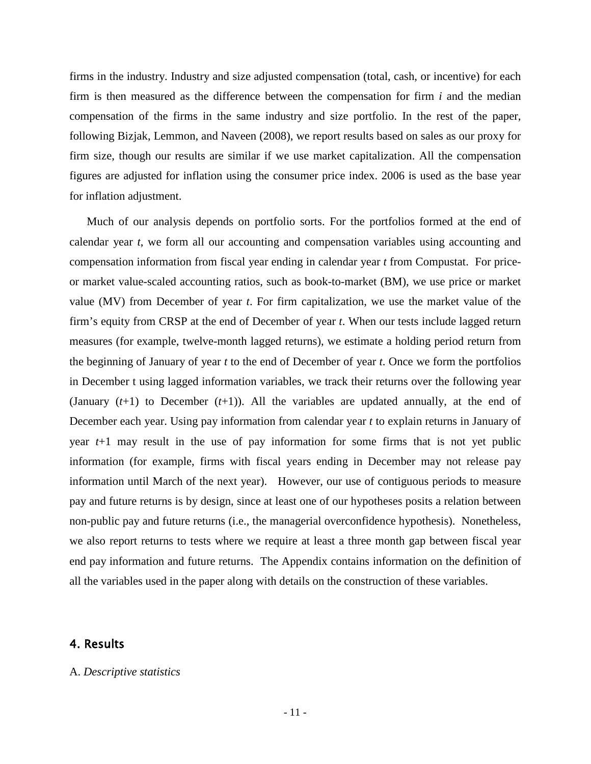firms in the industry. Industry and size adjusted compensation (total, cash, or incentive) for each firm is then measured as the difference between the compensation for firm *i* and the median compensation of the firms in the same industry and size portfolio. In the rest of the paper, following Bizjak, Lemmon, and Naveen (2008), we report results based on sales as our proxy for firm size, though our results are similar if we use market capitalization. All the compensation figures are adjusted for inflation using the consumer price index. 2006 is used as the base year for inflation adjustment.

Much of our analysis depends on portfolio sorts. For the portfolios formed at the end of calendar year *t*, we form all our accounting and compensation variables using accounting and compensation information from fiscal year ending in calendar year *t* from Compustat. For priceor market value-scaled accounting ratios, such as book-to-market (BM), we use price or market value (MV) from December of year *t*. For firm capitalization, we use the market value of the firm's equity from CRSP at the end of December of year *t*. When our tests include lagged return measures (for example, twelve-month lagged returns), we estimate a holding period return from the beginning of January of year *t* to the end of December of year *t*. Once we form the portfolios in December t using lagged information variables, we track their returns over the following year (January (*t*+1) to December (*t*+1)). All the variables are updated annually, at the end of December each year. Using pay information from calendar year *t* to explain returns in January of year *t*+1 may result in the use of pay information for some firms that is not yet public information (for example, firms with fiscal years ending in December may not release pay information until March of the next year). However, our use of contiguous periods to measure pay and future returns is by design, since at least one of our hypotheses posits a relation between non-public pay and future returns (i.e., the managerial overconfidence hypothesis). Nonetheless, we also report returns to tests where we require at least a three month gap between fiscal year end pay information and future returns. The Appendix contains information on the definition of all the variables used in the paper along with details on the construction of these variables.

# 4. Results

#### A. *Descriptive statistics*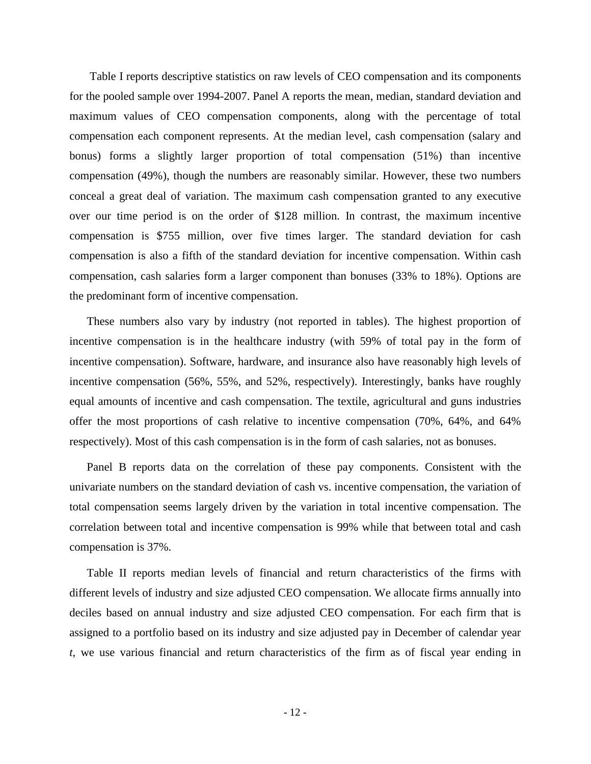Table I reports descriptive statistics on raw levels of CEO compensation and its components for the pooled sample over 1994-2007. Panel A reports the mean, median, standard deviation and maximum values of CEO compensation components, along with the percentage of total compensation each component represents. At the median level, cash compensation (salary and bonus) forms a slightly larger proportion of total compensation (51%) than incentive compensation (49%), though the numbers are reasonably similar. However, these two numbers conceal a great deal of variation. The maximum cash compensation granted to any executive over our time period is on the order of \$128 million. In contrast, the maximum incentive compensation is \$755 million, over five times larger. The standard deviation for cash compensation is also a fifth of the standard deviation for incentive compensation. Within cash compensation, cash salaries form a larger component than bonuses (33% to 18%). Options are the predominant form of incentive compensation.

These numbers also vary by industry (not reported in tables). The highest proportion of incentive compensation is in the healthcare industry (with 59% of total pay in the form of incentive compensation). Software, hardware, and insurance also have reasonably high levels of incentive compensation (56%, 55%, and 52%, respectively). Interestingly, banks have roughly equal amounts of incentive and cash compensation. The textile, agricultural and guns industries offer the most proportions of cash relative to incentive compensation (70%, 64%, and 64% respectively). Most of this cash compensation is in the form of cash salaries, not as bonuses.

Panel B reports data on the correlation of these pay components. Consistent with the univariate numbers on the standard deviation of cash vs. incentive compensation, the variation of total compensation seems largely driven by the variation in total incentive compensation. The correlation between total and incentive compensation is 99% while that between total and cash compensation is 37%.

Table II reports median levels of financial and return characteristics of the firms with different levels of industry and size adjusted CEO compensation. We allocate firms annually into deciles based on annual industry and size adjusted CEO compensation. For each firm that is assigned to a portfolio based on its industry and size adjusted pay in December of calendar year *t*, we use various financial and return characteristics of the firm as of fiscal year ending in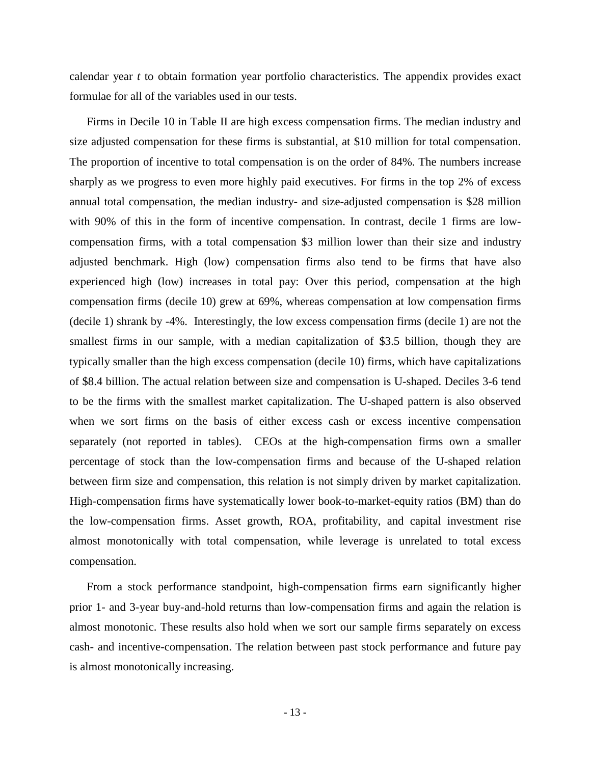calendar year *t* to obtain formation year portfolio characteristics. The appendix provides exact formulae for all of the variables used in our tests.

Firms in Decile 10 in Table II are high excess compensation firms. The median industry and size adjusted compensation for these firms is substantial, at \$10 million for total compensation. The proportion of incentive to total compensation is on the order of 84%. The numbers increase sharply as we progress to even more highly paid executives. For firms in the top 2% of excess annual total compensation, the median industry- and size-adjusted compensation is \$28 million with 90% of this in the form of incentive compensation. In contrast, decile 1 firms are lowcompensation firms, with a total compensation \$3 million lower than their size and industry adjusted benchmark. High (low) compensation firms also tend to be firms that have also experienced high (low) increases in total pay: Over this period, compensation at the high compensation firms (decile 10) grew at 69%, whereas compensation at low compensation firms (decile 1) shrank by -4%. Interestingly, the low excess compensation firms (decile 1) are not the smallest firms in our sample, with a median capitalization of \$3.5 billion, though they are typically smaller than the high excess compensation (decile 10) firms, which have capitalizations of \$8.4 billion. The actual relation between size and compensation is U-shaped. Deciles 3-6 tend to be the firms with the smallest market capitalization. The U-shaped pattern is also observed when we sort firms on the basis of either excess cash or excess incentive compensation separately (not reported in tables). CEOs at the high-compensation firms own a smaller percentage of stock than the low-compensation firms and because of the U-shaped relation between firm size and compensation, this relation is not simply driven by market capitalization. High-compensation firms have systematically lower book-to-market-equity ratios (BM) than do the low-compensation firms. Asset growth, ROA, profitability, and capital investment rise almost monotonically with total compensation, while leverage is unrelated to total excess compensation.

From a stock performance standpoint, high-compensation firms earn significantly higher prior 1- and 3-year buy-and-hold returns than low-compensation firms and again the relation is almost monotonic. These results also hold when we sort our sample firms separately on excess cash- and incentive-compensation. The relation between past stock performance and future pay is almost monotonically increasing.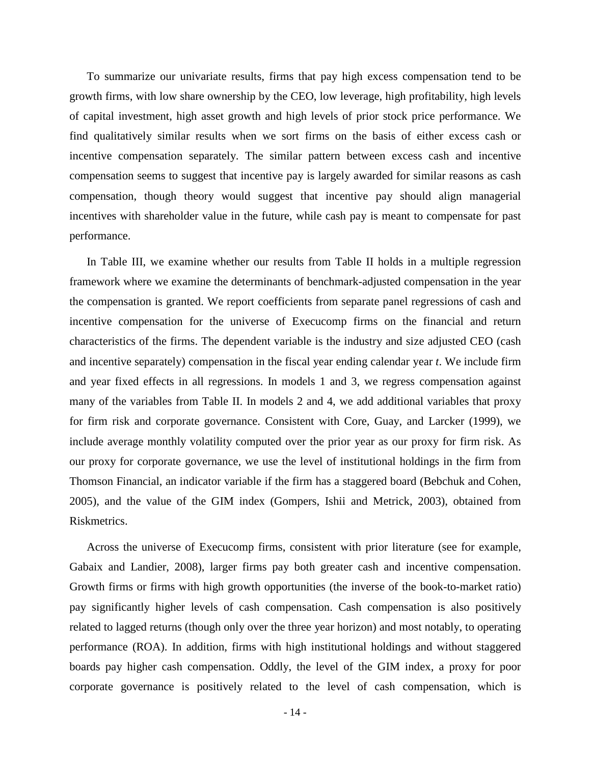To summarize our univariate results, firms that pay high excess compensation tend to be growth firms, with low share ownership by the CEO, low leverage, high profitability, high levels of capital investment, high asset growth and high levels of prior stock price performance. We find qualitatively similar results when we sort firms on the basis of either excess cash or incentive compensation separately. The similar pattern between excess cash and incentive compensation seems to suggest that incentive pay is largely awarded for similar reasons as cash compensation, though theory would suggest that incentive pay should align managerial incentives with shareholder value in the future, while cash pay is meant to compensate for past performance.

In Table III, we examine whether our results from Table II holds in a multiple regression framework where we examine the determinants of benchmark-adjusted compensation in the year the compensation is granted. We report coefficients from separate panel regressions of cash and incentive compensation for the universe of Execucomp firms on the financial and return characteristics of the firms. The dependent variable is the industry and size adjusted CEO (cash and incentive separately) compensation in the fiscal year ending calendar year *t*. We include firm and year fixed effects in all regressions. In models 1 and 3, we regress compensation against many of the variables from Table II. In models 2 and 4, we add additional variables that proxy for firm risk and corporate governance. Consistent with Core, Guay, and Larcker (1999), we include average monthly volatility computed over the prior year as our proxy for firm risk. As our proxy for corporate governance, we use the level of institutional holdings in the firm from Thomson Financial, an indicator variable if the firm has a staggered board (Bebchuk and Cohen, 2005), and the value of the GIM index (Gompers, Ishii and Metrick, 2003), obtained from Riskmetrics.

Across the universe of Execucomp firms, consistent with prior literature (see for example, Gabaix and Landier, 2008), larger firms pay both greater cash and incentive compensation. Growth firms or firms with high growth opportunities (the inverse of the book-to-market ratio) pay significantly higher levels of cash compensation. Cash compensation is also positively related to lagged returns (though only over the three year horizon) and most notably, to operating performance (ROA). In addition, firms with high institutional holdings and without staggered boards pay higher cash compensation. Oddly, the level of the GIM index, a proxy for poor corporate governance is positively related to the level of cash compensation, which is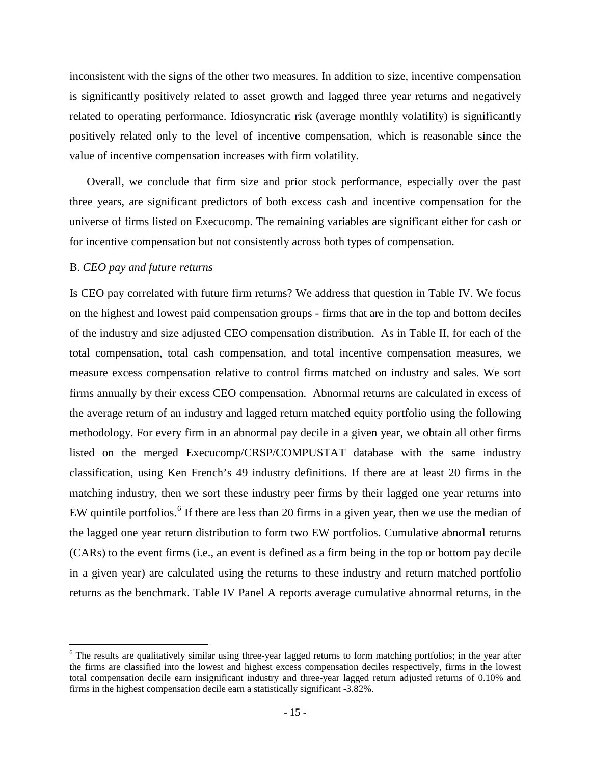inconsistent with the signs of the other two measures. In addition to size, incentive compensation is significantly positively related to asset growth and lagged three year returns and negatively related to operating performance. Idiosyncratic risk (average monthly volatility) is significantly positively related only to the level of incentive compensation, which is reasonable since the value of incentive compensation increases with firm volatility.

Overall, we conclude that firm size and prior stock performance, especially over the past three years, are significant predictors of both excess cash and incentive compensation for the universe of firms listed on Execucomp. The remaining variables are significant either for cash or for incentive compensation but not consistently across both types of compensation.

### B. *CEO pay and future returns*

Is CEO pay correlated with future firm returns? We address that question in Table IV. We focus on the highest and lowest paid compensation groups - firms that are in the top and bottom deciles of the industry and size adjusted CEO compensation distribution. As in Table II, for each of the total compensation, total cash compensation, and total incentive compensation measures, we measure excess compensation relative to control firms matched on industry and sales. We sort firms annually by their excess CEO compensation. Abnormal returns are calculated in excess of the average return of an industry and lagged return matched equity portfolio using the following methodology. For every firm in an abnormal pay decile in a given year, we obtain all other firms listed on the merged Execucomp/CRSP/COMPUSTAT database with the same industry classification, using Ken French's 49 industry definitions. If there are at least 20 firms in the matching industry, then we sort these industry peer firms by their lagged one year returns into EW quintile portfolios.<sup>[6](#page-16-0)</sup> If there are less than 20 firms in a given year, then we use the median of the lagged one year return distribution to form two EW portfolios. Cumulative abnormal returns (CARs) to the event firms (i.e., an event is defined as a firm being in the top or bottom pay decile in a given year) are calculated using the returns to these industry and return matched portfolio returns as the benchmark. Table IV Panel A reports average cumulative abnormal returns, in the

<span id="page-16-0"></span><sup>&</sup>lt;sup>6</sup> The results are qualitatively similar using three-year lagged returns to form matching portfolios; in the year after the firms are classified into the lowest and highest excess compensation deciles respectively, firms in the lowest total compensation decile earn insignificant industry and three-year lagged return adjusted returns of 0.10% and firms in the highest compensation decile earn a statistically significant -3.82%.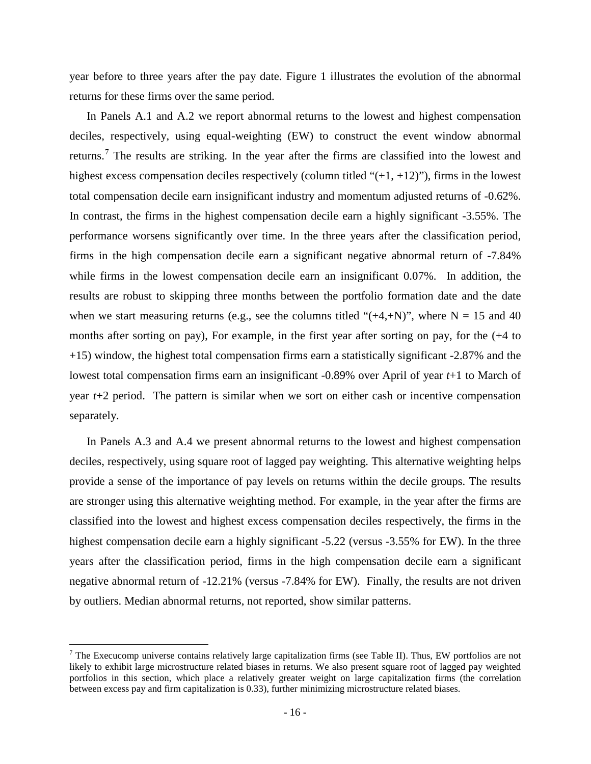year before to three years after the pay date. Figure 1 illustrates the evolution of the abnormal returns for these firms over the same period.

In Panels A.1 and A.2 we report abnormal returns to the lowest and highest compensation deciles, respectively, using equal-weighting (EW) to construct the event window abnormal returns.<sup>[7](#page-17-0)</sup> The results are striking. In the year after the firms are classified into the lowest and highest excess compensation deciles respectively (column titled " $(+1, +12)$ "), firms in the lowest total compensation decile earn insignificant industry and momentum adjusted returns of -0.62%. In contrast, the firms in the highest compensation decile earn a highly significant -3.55%. The performance worsens significantly over time. In the three years after the classification period, firms in the high compensation decile earn a significant negative abnormal return of -7.84% while firms in the lowest compensation decile earn an insignificant 0.07%. In addition, the results are robust to skipping three months between the portfolio formation date and the date when we start measuring returns (e.g., see the columns titled " $(+4, +N)$ ", where N = 15 and 40 months after sorting on pay), For example, in the first year after sorting on pay, for the (+4 to +15) window, the highest total compensation firms earn a statistically significant -2.87% and the lowest total compensation firms earn an insignificant -0.89% over April of year *t*+1 to March of year *t*+2 period. The pattern is similar when we sort on either cash or incentive compensation separately.

In Panels A.3 and A.4 we present abnormal returns to the lowest and highest compensation deciles, respectively, using square root of lagged pay weighting. This alternative weighting helps provide a sense of the importance of pay levels on returns within the decile groups. The results are stronger using this alternative weighting method. For example, in the year after the firms are classified into the lowest and highest excess compensation deciles respectively, the firms in the highest compensation decile earn a highly significant -5.22 (versus -3.55% for EW). In the three years after the classification period, firms in the high compensation decile earn a significant negative abnormal return of -12.21% (versus -7.84% for EW). Finally, the results are not driven by outliers. Median abnormal returns, not reported, show similar patterns.

<span id="page-17-0"></span><sup>&</sup>lt;sup>7</sup> The Execucomp universe contains relatively large capitalization firms (see Table II). Thus, EW portfolios are not likely to exhibit large microstructure related biases in returns. We also present square root of lagged pay weighted portfolios in this section, which place a relatively greater weight on large capitalization firms (the correlation between excess pay and firm capitalization is 0.33), further minimizing microstructure related biases.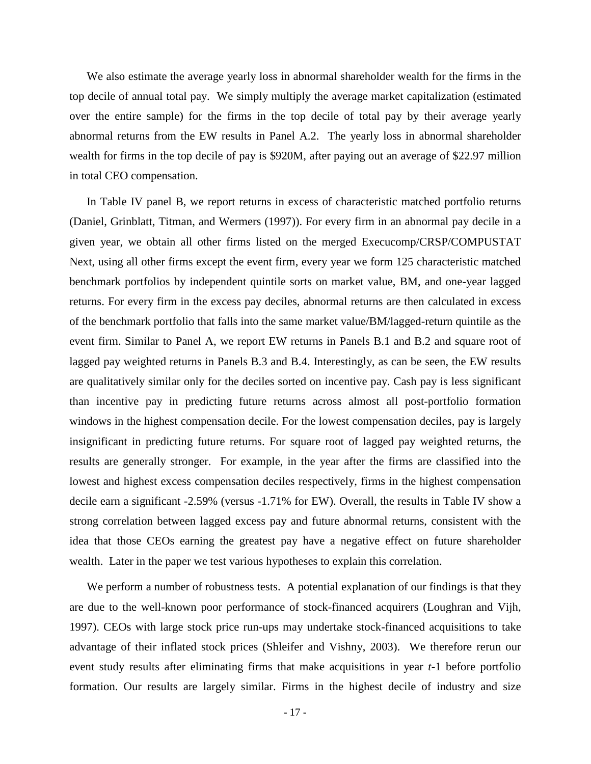We also estimate the average yearly loss in abnormal shareholder wealth for the firms in the top decile of annual total pay. We simply multiply the average market capitalization (estimated over the entire sample) for the firms in the top decile of total pay by their average yearly abnormal returns from the EW results in Panel A.2. The yearly loss in abnormal shareholder wealth for firms in the top decile of pay is \$920M, after paying out an average of \$22.97 million in total CEO compensation.

In Table IV panel B, we report returns in excess of characteristic matched portfolio returns (Daniel, Grinblatt, Titman, and Wermers (1997)). For every firm in an abnormal pay decile in a given year, we obtain all other firms listed on the merged Execucomp/CRSP/COMPUSTAT Next, using all other firms except the event firm, every year we form 125 characteristic matched benchmark portfolios by independent quintile sorts on market value, BM, and one-year lagged returns. For every firm in the excess pay deciles, abnormal returns are then calculated in excess of the benchmark portfolio that falls into the same market value/BM/lagged-return quintile as the event firm. Similar to Panel A, we report EW returns in Panels B.1 and B.2 and square root of lagged pay weighted returns in Panels B.3 and B.4. Interestingly, as can be seen, the EW results are qualitatively similar only for the deciles sorted on incentive pay. Cash pay is less significant than incentive pay in predicting future returns across almost all post-portfolio formation windows in the highest compensation decile. For the lowest compensation deciles, pay is largely insignificant in predicting future returns. For square root of lagged pay weighted returns, the results are generally stronger. For example, in the year after the firms are classified into the lowest and highest excess compensation deciles respectively, firms in the highest compensation decile earn a significant -2.59% (versus -1.71% for EW). Overall, the results in Table IV show a strong correlation between lagged excess pay and future abnormal returns, consistent with the idea that those CEOs earning the greatest pay have a negative effect on future shareholder wealth. Later in the paper we test various hypotheses to explain this correlation.

We perform a number of robustness tests. A potential explanation of our findings is that they are due to the well-known poor performance of stock-financed acquirers (Loughran and Vijh, 1997). CEOs with large stock price run-ups may undertake stock-financed acquisitions to take advantage of their inflated stock prices (Shleifer and Vishny, 2003). We therefore rerun our event study results after eliminating firms that make acquisitions in year *t*-1 before portfolio formation. Our results are largely similar. Firms in the highest decile of industry and size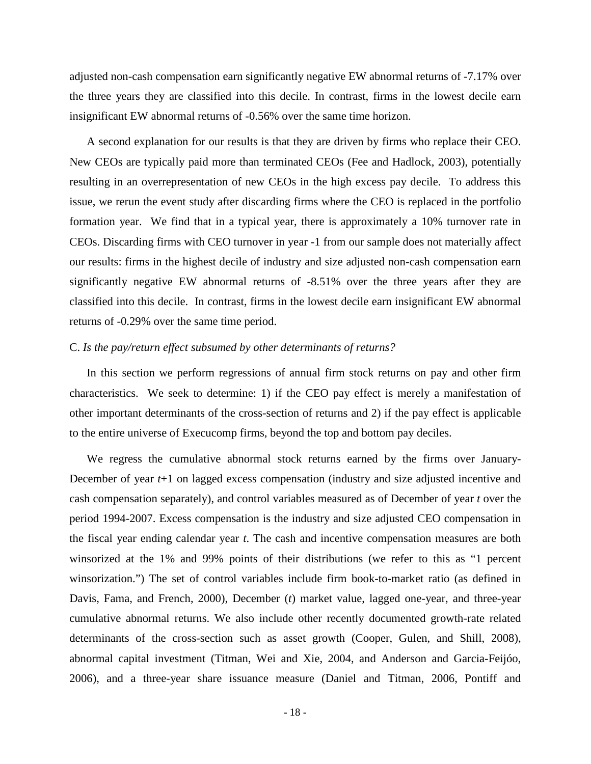adjusted non-cash compensation earn significantly negative EW abnormal returns of -7.17% over the three years they are classified into this decile. In contrast, firms in the lowest decile earn insignificant EW abnormal returns of -0.56% over the same time horizon.

A second explanation for our results is that they are driven by firms who replace their CEO. New CEOs are typically paid more than terminated CEOs (Fee and Hadlock, 2003), potentially resulting in an overrepresentation of new CEOs in the high excess pay decile. To address this issue, we rerun the event study after discarding firms where the CEO is replaced in the portfolio formation year. We find that in a typical year, there is approximately a 10% turnover rate in CEOs. Discarding firms with CEO turnover in year -1 from our sample does not materially affect our results: firms in the highest decile of industry and size adjusted non-cash compensation earn significantly negative EW abnormal returns of -8.51% over the three years after they are classified into this decile. In contrast, firms in the lowest decile earn insignificant EW abnormal returns of -0.29% over the same time period.

## C. *Is the pay/return effect subsumed by other determinants of returns?*

In this section we perform regressions of annual firm stock returns on pay and other firm characteristics. We seek to determine: 1) if the CEO pay effect is merely a manifestation of other important determinants of the cross-section of returns and 2) if the pay effect is applicable to the entire universe of Execucomp firms, beyond the top and bottom pay deciles.

We regress the cumulative abnormal stock returns earned by the firms over January-December of year *t*+1 on lagged excess compensation (industry and size adjusted incentive and cash compensation separately), and control variables measured as of December of year *t* over the period 1994-2007. Excess compensation is the industry and size adjusted CEO compensation in the fiscal year ending calendar year *t*. The cash and incentive compensation measures are both winsorized at the 1% and 99% points of their distributions (we refer to this as "1 percent winsorization.") The set of control variables include firm book-to-market ratio (as defined in Davis, Fama, and French, 2000), December (*t*) market value, lagged one-year, and three-year cumulative abnormal returns. We also include other recently documented growth-rate related determinants of the cross-section such as asset growth (Cooper, Gulen, and Shill, 2008), abnormal capital investment (Titman, Wei and Xie, 2004, and Anderson and Garcia-Feijóo, 2006), and a three-year share issuance measure (Daniel and Titman, 2006, Pontiff and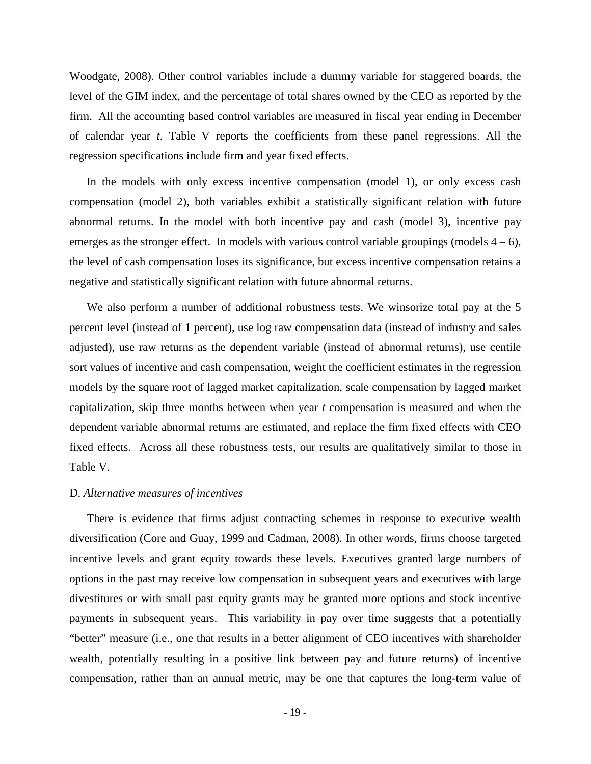Woodgate, 2008). Other control variables include a dummy variable for staggered boards, the level of the GIM index, and the percentage of total shares owned by the CEO as reported by the firm. All the accounting based control variables are measured in fiscal year ending in December of calendar year *t*. Table V reports the coefficients from these panel regressions. All the regression specifications include firm and year fixed effects.

In the models with only excess incentive compensation (model 1), or only excess cash compensation (model 2), both variables exhibit a statistically significant relation with future abnormal returns. In the model with both incentive pay and cash (model 3), incentive pay emerges as the stronger effect. In models with various control variable groupings (models  $4 - 6$ ), the level of cash compensation loses its significance, but excess incentive compensation retains a negative and statistically significant relation with future abnormal returns.

We also perform a number of additional robustness tests. We winsorize total pay at the 5 percent level (instead of 1 percent), use log raw compensation data (instead of industry and sales adjusted), use raw returns as the dependent variable (instead of abnormal returns), use centile sort values of incentive and cash compensation, weight the coefficient estimates in the regression models by the square root of lagged market capitalization, scale compensation by lagged market capitalization, skip three months between when year *t* compensation is measured and when the dependent variable abnormal returns are estimated, and replace the firm fixed effects with CEO fixed effects. Across all these robustness tests, our results are qualitatively similar to those in Table V.

## D. *Alternative measures of incentives*

There is evidence that firms adjust contracting schemes in response to executive wealth diversification (Core and Guay, 1999 and Cadman, 2008). In other words, firms choose targeted incentive levels and grant equity towards these levels. Executives granted large numbers of options in the past may receive low compensation in subsequent years and executives with large divestitures or with small past equity grants may be granted more options and stock incentive payments in subsequent years. This variability in pay over time suggests that a potentially "better" measure (i.e., one that results in a better alignment of CEO incentives with shareholder wealth, potentially resulting in a positive link between pay and future returns) of incentive compensation, rather than an annual metric, may be one that captures the long-term value of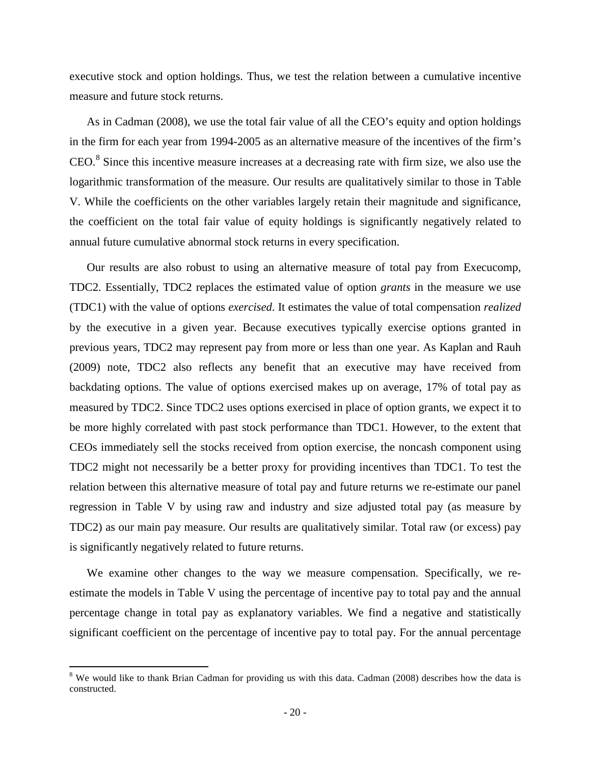executive stock and option holdings. Thus, we test the relation between a cumulative incentive measure and future stock returns.

As in Cadman (2008), we use the total fair value of all the CEO's equity and option holdings in the firm for each year from 1994-2005 as an alternative measure of the incentives of the firm's  $CEO.<sup>8</sup>$  $CEO.<sup>8</sup>$  $CEO.<sup>8</sup>$  Since this incentive measure increases at a decreasing rate with firm size, we also use the logarithmic transformation of the measure. Our results are qualitatively similar to those in Table V. While the coefficients on the other variables largely retain their magnitude and significance, the coefficient on the total fair value of equity holdings is significantly negatively related to annual future cumulative abnormal stock returns in every specification.

Our results are also robust to using an alternative measure of total pay from Execucomp, TDC2. Essentially, TDC2 replaces the estimated value of option *grants* in the measure we use (TDC1) with the value of options *exercised*. It estimates the value of total compensation *realized* by the executive in a given year. Because executives typically exercise options granted in previous years, TDC2 may represent pay from more or less than one year. As Kaplan and Rauh (2009) note, TDC2 also reflects any benefit that an executive may have received from backdating options. The value of options exercised makes up on average, 17% of total pay as measured by TDC2. Since TDC2 uses options exercised in place of option grants, we expect it to be more highly correlated with past stock performance than TDC1. However, to the extent that CEOs immediately sell the stocks received from option exercise, the noncash component using TDC2 might not necessarily be a better proxy for providing incentives than TDC1. To test the relation between this alternative measure of total pay and future returns we re-estimate our panel regression in Table V by using raw and industry and size adjusted total pay (as measure by TDC2) as our main pay measure. Our results are qualitatively similar. Total raw (or excess) pay is significantly negatively related to future returns.

We examine other changes to the way we measure compensation. Specifically, we reestimate the models in Table V using the percentage of incentive pay to total pay and the annual percentage change in total pay as explanatory variables. We find a negative and statistically significant coefficient on the percentage of incentive pay to total pay. For the annual percentage

<span id="page-21-0"></span><sup>&</sup>lt;sup>8</sup> We would like to thank Brian Cadman for providing us with this data. Cadman (2008) describes how the data is constructed.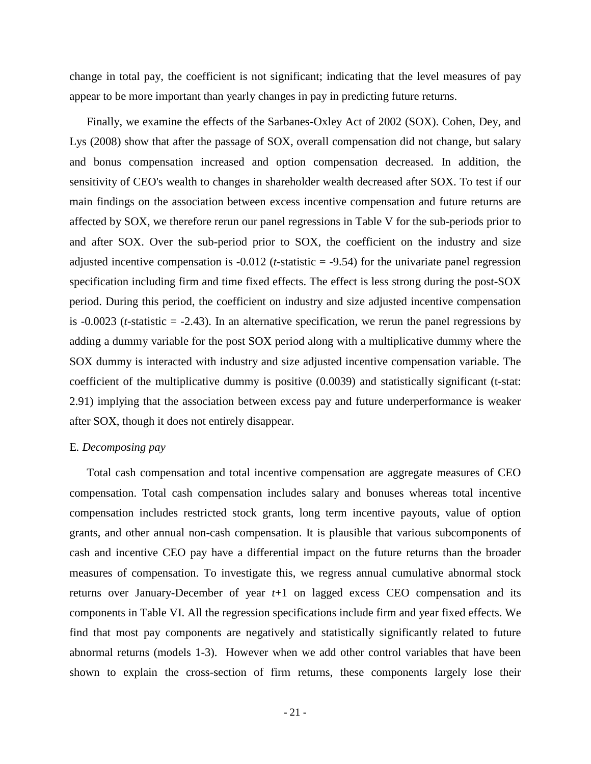change in total pay, the coefficient is not significant; indicating that the level measures of pay appear to be more important than yearly changes in pay in predicting future returns.

Finally, we examine the effects of the Sarbanes-Oxley Act of 2002 (SOX). Cohen, Dey, and Lys (2008) show that after the passage of SOX, overall compensation did not change, but salary and bonus compensation increased and option compensation decreased. In addition, the sensitivity of CEO's wealth to changes in shareholder wealth decreased after SOX. To test if our main findings on the association between excess incentive compensation and future returns are affected by SOX, we therefore rerun our panel regressions in Table V for the sub-periods prior to and after SOX. Over the sub-period prior to SOX, the coefficient on the industry and size adjusted incentive compensation is -0.012 (*t*-statistic = -9.54) for the univariate panel regression specification including firm and time fixed effects. The effect is less strong during the post-SOX period. During this period, the coefficient on industry and size adjusted incentive compensation is -0.0023 (*t*-statistic = -2.43). In an alternative specification, we rerun the panel regressions by adding a dummy variable for the post SOX period along with a multiplicative dummy where the SOX dummy is interacted with industry and size adjusted incentive compensation variable. The coefficient of the multiplicative dummy is positive (0.0039) and statistically significant (t-stat: 2.91) implying that the association between excess pay and future underperformance is weaker after SOX, though it does not entirely disappear.

## E*. Decomposing pay*

Total cash compensation and total incentive compensation are aggregate measures of CEO compensation. Total cash compensation includes salary and bonuses whereas total incentive compensation includes restricted stock grants, long term incentive payouts, value of option grants, and other annual non-cash compensation. It is plausible that various subcomponents of cash and incentive CEO pay have a differential impact on the future returns than the broader measures of compensation. To investigate this, we regress annual cumulative abnormal stock returns over January-December of year *t*+1 on lagged excess CEO compensation and its components in Table VI. All the regression specifications include firm and year fixed effects. We find that most pay components are negatively and statistically significantly related to future abnormal returns (models 1-3). However when we add other control variables that have been shown to explain the cross-section of firm returns, these components largely lose their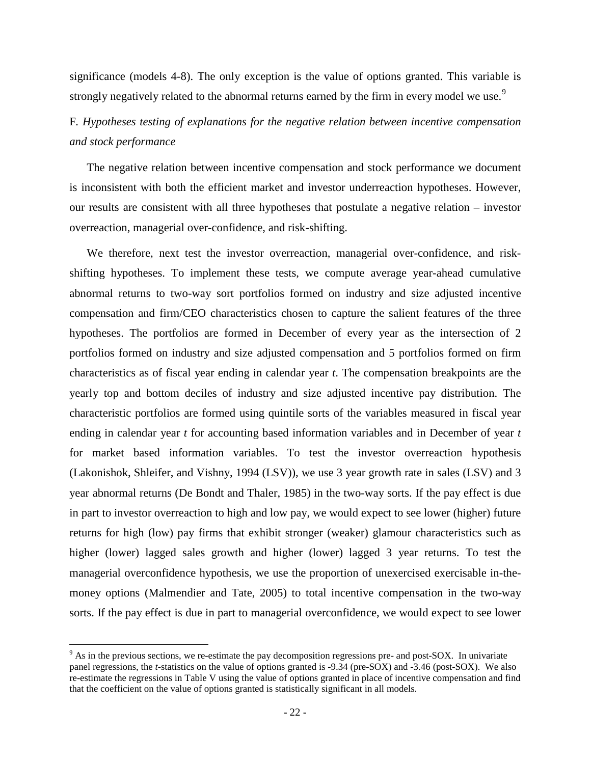significance (models 4-8). The only exception is the value of options granted. This variable is strongly negatively related to the abnormal returns earned by the firm in every model we use.<sup>[9](#page-23-0)</sup>

# F*. Hypotheses testing of explanations for the negative relation between incentive compensation and stock performance*

The negative relation between incentive compensation and stock performance we document is inconsistent with both the efficient market and investor underreaction hypotheses. However, our results are consistent with all three hypotheses that postulate a negative relation – investor overreaction, managerial over-confidence, and risk-shifting.

We therefore, next test the investor overreaction, managerial over-confidence, and riskshifting hypotheses. To implement these tests, we compute average year-ahead cumulative abnormal returns to two-way sort portfolios formed on industry and size adjusted incentive compensation and firm/CEO characteristics chosen to capture the salient features of the three hypotheses. The portfolios are formed in December of every year as the intersection of 2 portfolios formed on industry and size adjusted compensation and 5 portfolios formed on firm characteristics as of fiscal year ending in calendar year *t*. The compensation breakpoints are the yearly top and bottom deciles of industry and size adjusted incentive pay distribution. The characteristic portfolios are formed using quintile sorts of the variables measured in fiscal year ending in calendar year *t* for accounting based information variables and in December of year *t* for market based information variables. To test the investor overreaction hypothesis (Lakonishok, Shleifer, and Vishny, 1994 (LSV)), we use 3 year growth rate in sales (LSV) and 3 year abnormal returns (De Bondt and Thaler, 1985) in the two-way sorts. If the pay effect is due in part to investor overreaction to high and low pay, we would expect to see lower (higher) future returns for high (low) pay firms that exhibit stronger (weaker) glamour characteristics such as higher (lower) lagged sales growth and higher (lower) lagged 3 year returns. To test the managerial overconfidence hypothesis, we use the proportion of unexercised exercisable in-themoney options (Malmendier and Tate, 2005) to total incentive compensation in the two-way sorts. If the pay effect is due in part to managerial overconfidence, we would expect to see lower

<span id="page-23-0"></span><sup>&</sup>lt;sup>9</sup> As in the previous sections, we re-estimate the pay decomposition regressions pre- and post-SOX. In univariate panel regressions, the *t*-statistics on the value of options granted is -9.34 (pre-SOX) and -3.46 (post-SOX). We also re-estimate the regressions in Table V using the value of options granted in place of incentive compensation and find that the coefficient on the value of options granted is statistically significant in all models.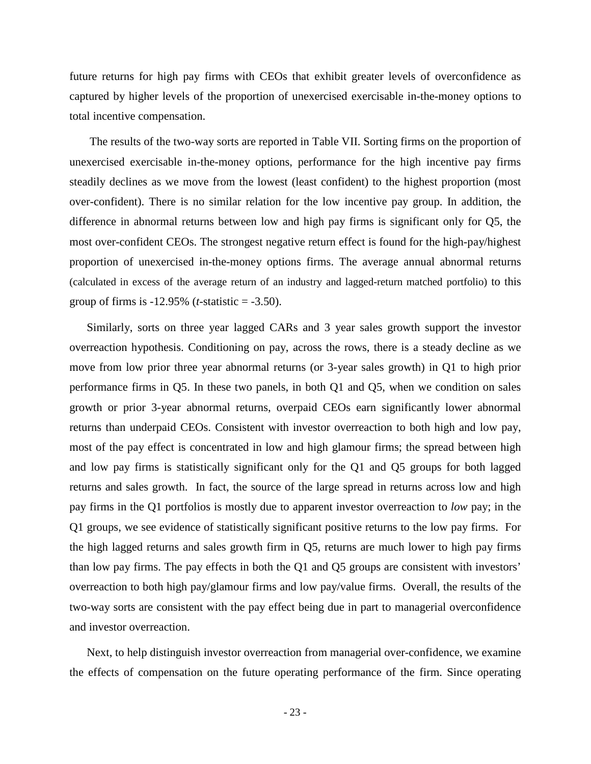future returns for high pay firms with CEOs that exhibit greater levels of overconfidence as captured by higher levels of the proportion of unexercised exercisable in-the-money options to total incentive compensation.

The results of the two-way sorts are reported in Table VII. Sorting firms on the proportion of unexercised exercisable in-the-money options, performance for the high incentive pay firms steadily declines as we move from the lowest (least confident) to the highest proportion (most over-confident). There is no similar relation for the low incentive pay group. In addition, the difference in abnormal returns between low and high pay firms is significant only for Q5, the most over-confident CEOs. The strongest negative return effect is found for the high-pay/highest proportion of unexercised in-the-money options firms. The average annual abnormal returns (calculated in excess of the average return of an industry and lagged-return matched portfolio) to this group of firms is -12.95% (*t*-statistic = -3.50).

Similarly, sorts on three year lagged CARs and 3 year sales growth support the investor overreaction hypothesis. Conditioning on pay, across the rows, there is a steady decline as we move from low prior three year abnormal returns (or 3-year sales growth) in Q1 to high prior performance firms in Q5. In these two panels, in both Q1 and Q5, when we condition on sales growth or prior 3-year abnormal returns, overpaid CEOs earn significantly lower abnormal returns than underpaid CEOs. Consistent with investor overreaction to both high and low pay, most of the pay effect is concentrated in low and high glamour firms; the spread between high and low pay firms is statistically significant only for the Q1 and Q5 groups for both lagged returns and sales growth. In fact, the source of the large spread in returns across low and high pay firms in the Q1 portfolios is mostly due to apparent investor overreaction to *low* pay; in the Q1 groups, we see evidence of statistically significant positive returns to the low pay firms. For the high lagged returns and sales growth firm in Q5, returns are much lower to high pay firms than low pay firms. The pay effects in both the Q1 and Q5 groups are consistent with investors' overreaction to both high pay/glamour firms and low pay/value firms. Overall, the results of the two-way sorts are consistent with the pay effect being due in part to managerial overconfidence and investor overreaction.

Next, to help distinguish investor overreaction from managerial over-confidence, we examine the effects of compensation on the future operating performance of the firm. Since operating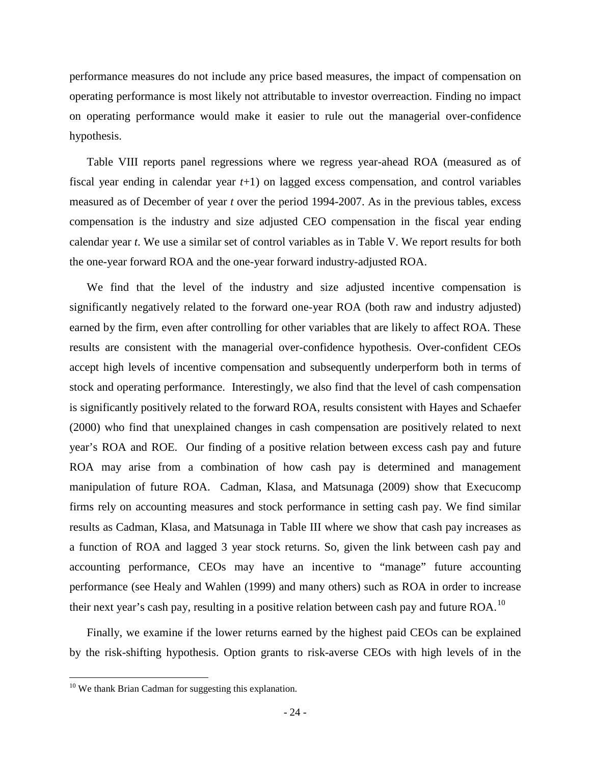performance measures do not include any price based measures, the impact of compensation on operating performance is most likely not attributable to investor overreaction. Finding no impact on operating performance would make it easier to rule out the managerial over-confidence hypothesis.

Table VIII reports panel regressions where we regress year-ahead ROA (measured as of fiscal year ending in calendar year *t*+1) on lagged excess compensation, and control variables measured as of December of year *t* over the period 1994-2007. As in the previous tables, excess compensation is the industry and size adjusted CEO compensation in the fiscal year ending calendar year *t*. We use a similar set of control variables as in Table V. We report results for both the one-year forward ROA and the one-year forward industry-adjusted ROA.

We find that the level of the industry and size adjusted incentive compensation is significantly negatively related to the forward one-year ROA (both raw and industry adjusted) earned by the firm, even after controlling for other variables that are likely to affect ROA. These results are consistent with the managerial over-confidence hypothesis. Over-confident CEOs accept high levels of incentive compensation and subsequently underperform both in terms of stock and operating performance. Interestingly, we also find that the level of cash compensation is significantly positively related to the forward ROA, results consistent with Hayes and Schaefer (2000) who find that unexplained changes in cash compensation are positively related to next year's ROA and ROE. Our finding of a positive relation between excess cash pay and future ROA may arise from a combination of how cash pay is determined and management manipulation of future ROA. Cadman, Klasa, and Matsunaga (2009) show that Execucomp firms rely on accounting measures and stock performance in setting cash pay. We find similar results as Cadman, Klasa, and Matsunaga in Table III where we show that cash pay increases as a function of ROA and lagged 3 year stock returns. So, given the link between cash pay and accounting performance, CEOs may have an incentive to "manage" future accounting performance (see Healy and Wahlen (1999) and many others) such as ROA in order to increase their next year's cash pay, resulting in a positive relation between cash pay and future ROA.<sup>[10](#page-25-0)</sup>

Finally, we examine if the lower returns earned by the highest paid CEOs can be explained by the risk-shifting hypothesis. Option grants to risk-averse CEOs with high levels of in the

<span id="page-25-0"></span><sup>&</sup>lt;sup>10</sup> We thank Brian Cadman for suggesting this explanation.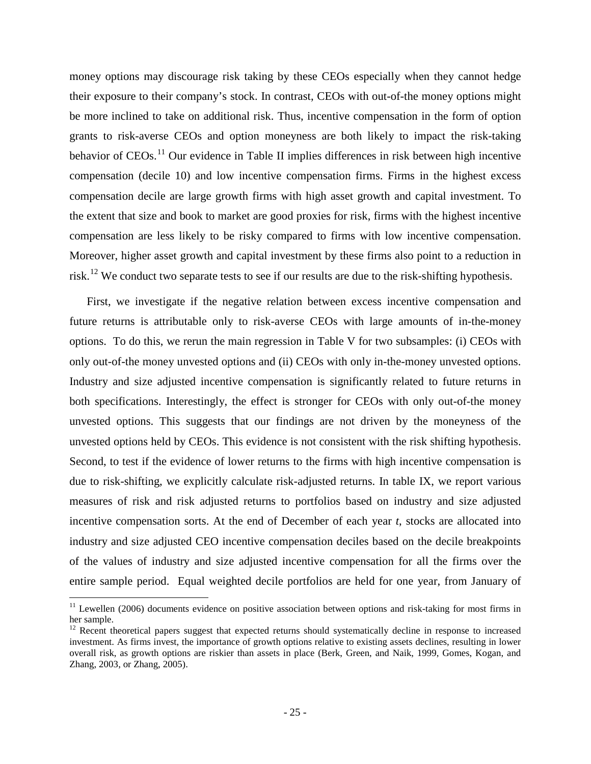money options may discourage risk taking by these CEOs especially when they cannot hedge their exposure to their company's stock. In contrast, CEOs with out-of-the money options might be more inclined to take on additional risk. Thus, incentive compensation in the form of option grants to risk-averse CEOs and option moneyness are both likely to impact the risk-taking behavior of  $CEOs.$ <sup>[11](#page-26-0)</sup> Our evidence in Table II implies differences in risk between high incentive compensation (decile 10) and low incentive compensation firms. Firms in the highest excess compensation decile are large growth firms with high asset growth and capital investment. To the extent that size and book to market are good proxies for risk, firms with the highest incentive compensation are less likely to be risky compared to firms with low incentive compensation. Moreover, higher asset growth and capital investment by these firms also point to a reduction in risk.<sup>[12](#page-26-1)</sup> We conduct two separate tests to see if our results are due to the risk-shifting hypothesis.

First, we investigate if the negative relation between excess incentive compensation and future returns is attributable only to risk-averse CEOs with large amounts of in-the-money options. To do this, we rerun the main regression in Table V for two subsamples: (i) CEOs with only out-of-the money unvested options and (ii) CEOs with only in-the-money unvested options. Industry and size adjusted incentive compensation is significantly related to future returns in both specifications. Interestingly, the effect is stronger for CEOs with only out-of-the money unvested options. This suggests that our findings are not driven by the moneyness of the unvested options held by CEOs. This evidence is not consistent with the risk shifting hypothesis. Second, to test if the evidence of lower returns to the firms with high incentive compensation is due to risk-shifting, we explicitly calculate risk-adjusted returns. In table IX, we report various measures of risk and risk adjusted returns to portfolios based on industry and size adjusted incentive compensation sorts. At the end of December of each year *t*, stocks are allocated into industry and size adjusted CEO incentive compensation deciles based on the decile breakpoints of the values of industry and size adjusted incentive compensation for all the firms over the entire sample period. Equal weighted decile portfolios are held for one year, from January of

<span id="page-26-0"></span> $11$  Lewellen (2006) documents evidence on positive association between options and risk-taking for most firms in her sample.

<span id="page-26-1"></span> $12$  Recent theoretical papers suggest that expected returns should systematically decline in response to increased investment. As firms invest, the importance of growth options relative to existing assets declines, resulting in lower overall risk, as growth options are riskier than assets in place (Berk, Green, and Naik, 1999, Gomes, Kogan, and Zhang, 2003, or Zhang, 2005).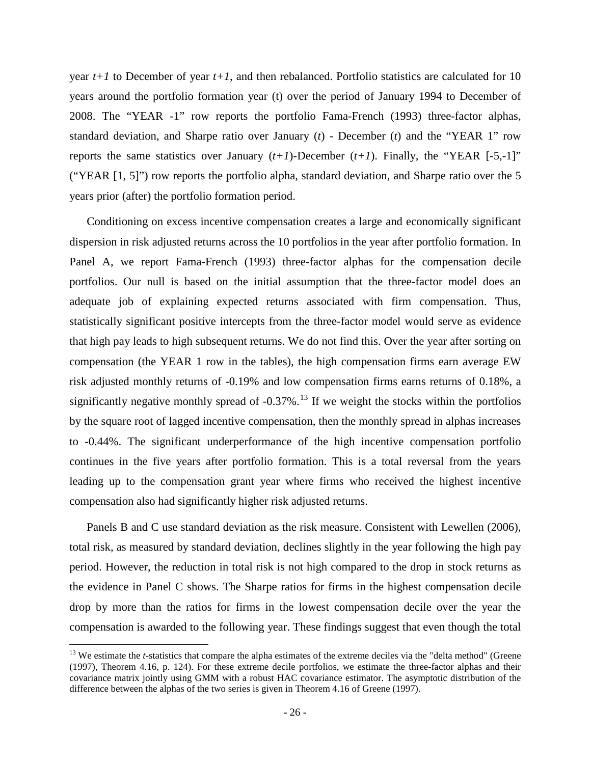year  $t+1$  to December of year  $t+1$ , and then rebalanced. Portfolio statistics are calculated for 10 years around the portfolio formation year (t) over the period of January 1994 to December of 2008. The "YEAR -1" row reports the portfolio Fama-French (1993) three-factor alphas, standard deviation, and Sharpe ratio over January (*t*) - December (*t*) and the "YEAR 1" row reports the same statistics over January  $(t+1)$ -December  $(t+1)$ . Finally, the "YEAR  $[-5,-1]$ " ("YEAR [1, 5]") row reports the portfolio alpha, standard deviation, and Sharpe ratio over the 5 years prior (after) the portfolio formation period.

Conditioning on excess incentive compensation creates a large and economically significant dispersion in risk adjusted returns across the 10 portfolios in the year after portfolio formation. In Panel A, we report Fama-French (1993) three-factor alphas for the compensation decile portfolios. Our null is based on the initial assumption that the three-factor model does an adequate job of explaining expected returns associated with firm compensation. Thus, statistically significant positive intercepts from the three-factor model would serve as evidence that high pay leads to high subsequent returns. We do not find this. Over the year after sorting on compensation (the YEAR 1 row in the tables), the high compensation firms earn average EW risk adjusted monthly returns of -0.19% and low compensation firms earns returns of 0.18%, a significantly negative monthly spread of  $-0.37\%$ .<sup>[13](#page-27-0)</sup> If we weight the stocks within the portfolios by the square root of lagged incentive compensation, then the monthly spread in alphas increases to -0.44%. The significant underperformance of the high incentive compensation portfolio continues in the five years after portfolio formation. This is a total reversal from the years leading up to the compensation grant year where firms who received the highest incentive compensation also had significantly higher risk adjusted returns.

Panels B and C use standard deviation as the risk measure. Consistent with Lewellen (2006), total risk, as measured by standard deviation, declines slightly in the year following the high pay period. However, the reduction in total risk is not high compared to the drop in stock returns as the evidence in Panel C shows. The Sharpe ratios for firms in the highest compensation decile drop by more than the ratios for firms in the lowest compensation decile over the year the compensation is awarded to the following year. These findings suggest that even though the total

<span id="page-27-0"></span><sup>&</sup>lt;sup>13</sup> We estimate the *t*-statistics that compare the alpha estimates of the extreme deciles via the "delta method" (Greene (1997), Theorem 4.16, p. 124). For these extreme decile portfolios, we estimate the three-factor alphas and their covariance matrix jointly using GMM with a robust HAC covariance estimator. The asymptotic distribution of the difference between the alphas of the two series is given in Theorem 4.16 of Greene (1997).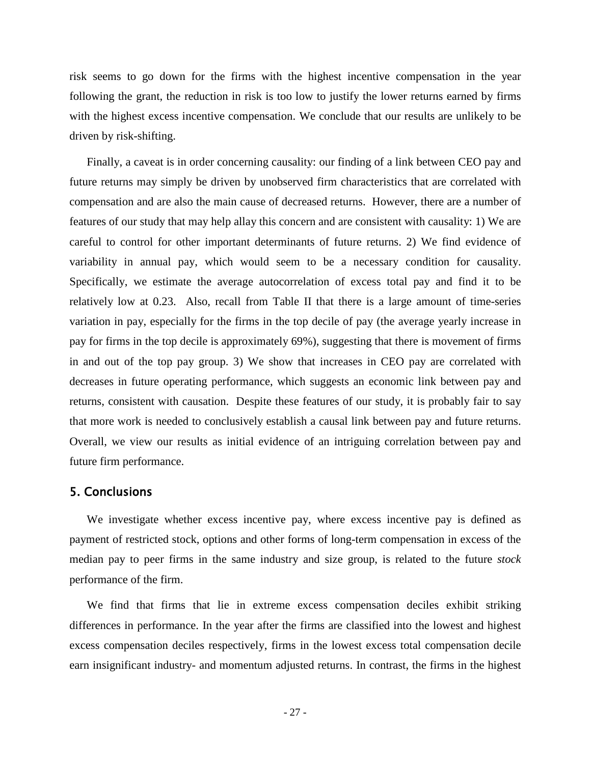risk seems to go down for the firms with the highest incentive compensation in the year following the grant, the reduction in risk is too low to justify the lower returns earned by firms with the highest excess incentive compensation. We conclude that our results are unlikely to be driven by risk-shifting.

Finally, a caveat is in order concerning causality: our finding of a link between CEO pay and future returns may simply be driven by unobserved firm characteristics that are correlated with compensation and are also the main cause of decreased returns. However, there are a number of features of our study that may help allay this concern and are consistent with causality: 1) We are careful to control for other important determinants of future returns. 2) We find evidence of variability in annual pay, which would seem to be a necessary condition for causality. Specifically, we estimate the average autocorrelation of excess total pay and find it to be relatively low at 0.23. Also, recall from Table II that there is a large amount of time-series variation in pay, especially for the firms in the top decile of pay (the average yearly increase in pay for firms in the top decile is approximately 69%), suggesting that there is movement of firms in and out of the top pay group. 3) We show that increases in CEO pay are correlated with decreases in future operating performance, which suggests an economic link between pay and returns, consistent with causation. Despite these features of our study, it is probably fair to say that more work is needed to conclusively establish a causal link between pay and future returns. Overall, we view our results as initial evidence of an intriguing correlation between pay and future firm performance.

## 5. Conclusions

We investigate whether excess incentive pay, where excess incentive pay is defined as payment of restricted stock, options and other forms of long-term compensation in excess of the median pay to peer firms in the same industry and size group, is related to the future *stock*  performance of the firm.

We find that firms that lie in extreme excess compensation deciles exhibit striking differences in performance. In the year after the firms are classified into the lowest and highest excess compensation deciles respectively, firms in the lowest excess total compensation decile earn insignificant industry- and momentum adjusted returns. In contrast, the firms in the highest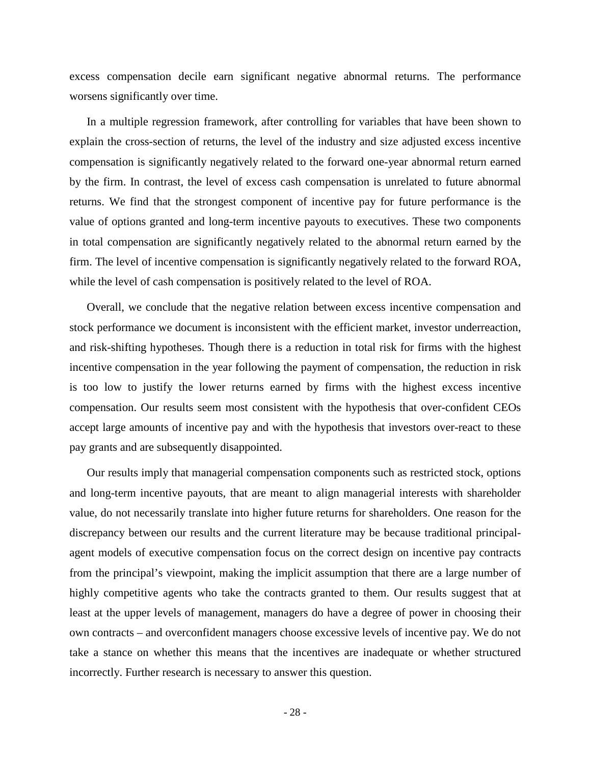excess compensation decile earn significant negative abnormal returns. The performance worsens significantly over time.

In a multiple regression framework, after controlling for variables that have been shown to explain the cross-section of returns, the level of the industry and size adjusted excess incentive compensation is significantly negatively related to the forward one-year abnormal return earned by the firm. In contrast, the level of excess cash compensation is unrelated to future abnormal returns. We find that the strongest component of incentive pay for future performance is the value of options granted and long-term incentive payouts to executives. These two components in total compensation are significantly negatively related to the abnormal return earned by the firm. The level of incentive compensation is significantly negatively related to the forward ROA, while the level of cash compensation is positively related to the level of ROA.

Overall, we conclude that the negative relation between excess incentive compensation and stock performance we document is inconsistent with the efficient market, investor underreaction, and risk-shifting hypotheses. Though there is a reduction in total risk for firms with the highest incentive compensation in the year following the payment of compensation, the reduction in risk is too low to justify the lower returns earned by firms with the highest excess incentive compensation. Our results seem most consistent with the hypothesis that over-confident CEOs accept large amounts of incentive pay and with the hypothesis that investors over-react to these pay grants and are subsequently disappointed.

Our results imply that managerial compensation components such as restricted stock, options and long-term incentive payouts, that are meant to align managerial interests with shareholder value, do not necessarily translate into higher future returns for shareholders. One reason for the discrepancy between our results and the current literature may be because traditional principalagent models of executive compensation focus on the correct design on incentive pay contracts from the principal's viewpoint, making the implicit assumption that there are a large number of highly competitive agents who take the contracts granted to them. Our results suggest that at least at the upper levels of management, managers do have a degree of power in choosing their own contracts – and overconfident managers choose excessive levels of incentive pay. We do not take a stance on whether this means that the incentives are inadequate or whether structured incorrectly. Further research is necessary to answer this question.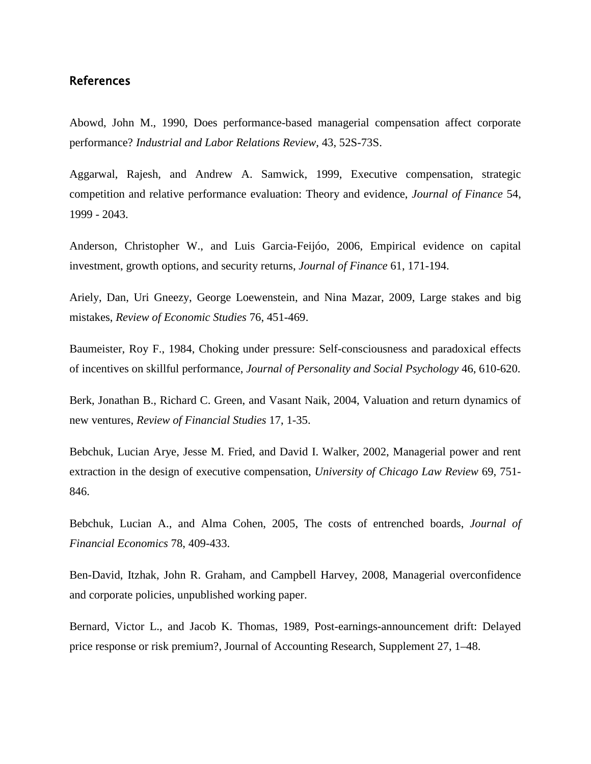## References

Abowd, John M., 1990, Does performance-based managerial compensation affect corporate performance? *Industrial and Labor Relations Review*, 43, 52S-73S.

Aggarwal, Rajesh, and Andrew A. Samwick, 1999, Executive compensation, strategic competition and relative performance evaluation: Theory and evidence, *Journal of Finance* 54, 1999 - 2043.

Anderson, Christopher W., and Luis Garcia-Feijóo, 2006, Empirical evidence on capital investment, growth options, and security returns, *Journal of Finance* 61, 171-194.

Ariely, Dan, Uri Gneezy, George Loewenstein, and Nina Mazar, 2009, Large stakes and big mistakes, *Review of Economic Studies* 76, 451-469.

Baumeister, Roy F., 1984, Choking under pressure: Self-consciousness and paradoxical effects of incentives on skillful performance, *Journal of Personality and Social Psychology* 46, 610-620.

Berk, Jonathan B., Richard C. Green, and Vasant Naik, 2004, Valuation and return dynamics of new ventures, *Review of Financial Studies* 17, 1-35.

Bebchuk, Lucian Arye, Jesse M. Fried, and David I. Walker, 2002, Managerial power and rent extraction in the design of executive compensation, *University of Chicago Law Review* 69, 751- 846.

Bebchuk, Lucian A., and Alma Cohen, 2005, The costs of entrenched boards, *Journal of Financial Economics* 78, 409-433.

Ben-David, Itzhak, John R. Graham, and Campbell Harvey, 2008, Managerial overconfidence and corporate policies, unpublished working paper.

Bernard, Victor L., and Jacob K. Thomas, 1989, Post-earnings-announcement drift: Delayed price response or risk premium?, Journal of Accounting Research, Supplement 27, 1–48.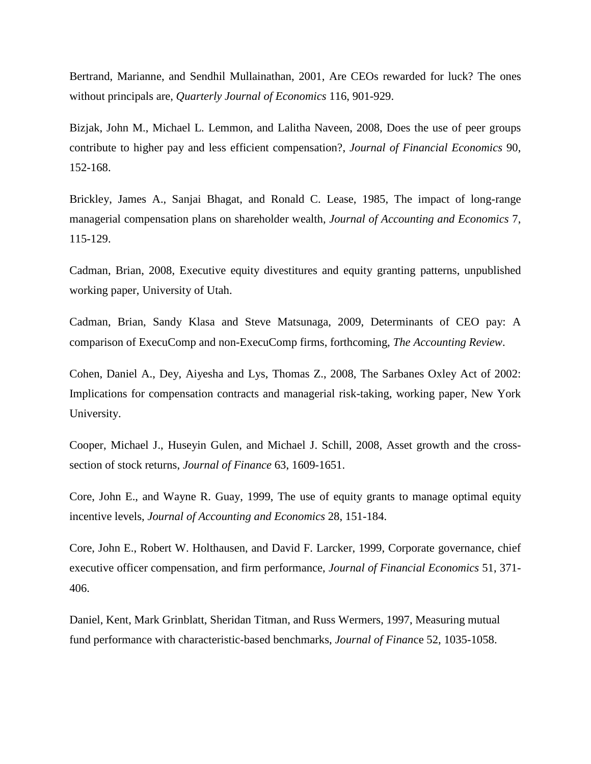Bertrand, Marianne, and Sendhil Mullainathan, 2001, Are CEOs rewarded for luck? The ones without principals are, *Quarterly Journal of Economics* 116, 901-929.

Bizjak, John M., Michael L. Lemmon, and Lalitha Naveen, 2008, Does the use of peer groups contribute to higher pay and less efficient compensation?, *Journal of Financial Economics* 90, 152-168.

Brickley, James A., Sanjai Bhagat, and Ronald C. Lease, 1985, The impact of long-range managerial compensation plans on shareholder wealth, *Journal of Accounting and Economics* 7, 115-129.

Cadman, Brian, 2008, Executive equity divestitures and equity granting patterns, unpublished working paper, University of Utah.

Cadman, Brian, Sandy Klasa and Steve Matsunaga, 2009, Determinants of CEO pay: A comparison of ExecuComp and non-ExecuComp firms, forthcoming, *The Accounting Review*.

Cohen, Daniel A., Dey, Aiyesha and Lys, Thomas Z., 2008, The Sarbanes Oxley Act of 2002: Implications for compensation contracts and managerial risk-taking, working paper, New York University.

Cooper, Michael J., Huseyin Gulen, and Michael J. Schill, 2008, Asset growth and the crosssection of stock returns, *Journal of Finance* 63, 1609-1651.

Core, John E., and Wayne R. Guay, 1999, The use of equity grants to manage optimal equity incentive levels, *Journal of Accounting and Economics* 28, 151-184.

Core, John E., Robert W. Holthausen, and David F. Larcker, 1999, Corporate governance, chief executive officer compensation, and firm performance, *Journal of Financial Economics* 51, 371- 406.

Daniel, Kent, Mark Grinblatt, Sheridan Titman, and Russ Wermers, 1997, Measuring mutual fund performance with characteristic-based benchmarks, *Journal of Finan*ce 52, 1035-1058.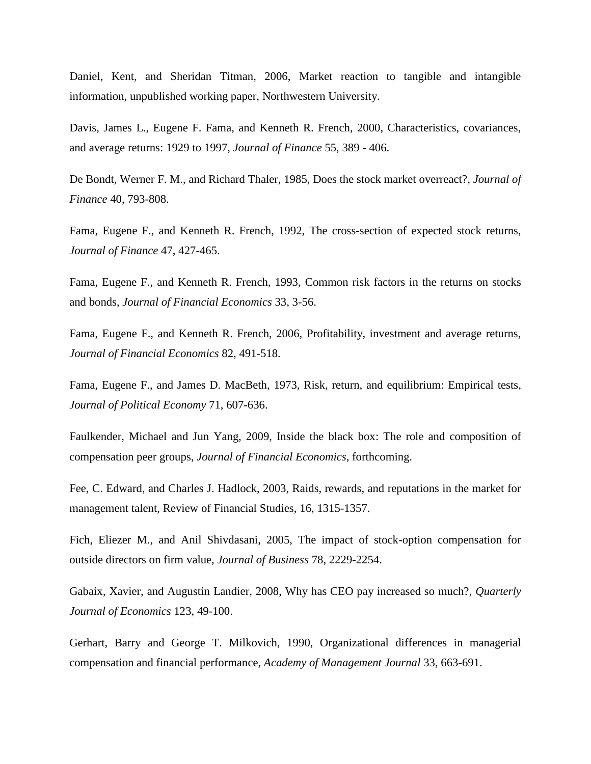Daniel, Kent, and Sheridan Titman, 2006, Market reaction to tangible and intangible information, unpublished working paper, Northwestern University.

Davis, James L., Eugene F. Fama, and Kenneth R. French, 2000, Characteristics, covariances, and average returns: 1929 to 1997, *Journal of Finance* 55, 389 - 406.

De Bondt, Werner F. M., and Richard Thaler, 1985, Does the stock market overreact?, *Journal of Finance* 40, 793-808.

Fama, Eugene F., and Kenneth R. French, 1992, The cross-section of expected stock returns, *Journal of Finance* 47, 427-465.

Fama, Eugene F., and Kenneth R. French, 1993, Common risk factors in the returns on stocks and bonds, *Journal of Financial Economics* 33, 3-56.

Fama, Eugene F., and Kenneth R. French, 2006, Profitability, investment and average returns, *Journal of Financial Economics* 82, 491-518.

Fama, Eugene F., and James D. MacBeth, 1973, Risk, return, and equilibrium: Empirical tests, *Journal of Political Economy* 71, 607-636.

Faulkender, Michael and Jun Yang, 2009, Inside the black box: The role and composition of compensation peer groups, *Journal of Financial Economics*, forthcoming.

Fee, C. Edward, and Charles J. Hadlock, 2003, Raids, rewards, and reputations in the market for management talent, Review of Financial Studies, 16, 1315-1357.

Fich, Eliezer M., and Anil Shivdasani, 2005, The impact of stock-option compensation for outside directors on firm value, *Journal of Business* 78, 2229-2254.

Gabaix, Xavier, and Augustin Landier, 2008, Why has CEO pay increased so much?, *Quarterly Journal of Economics* 123, 49-100.

Gerhart, Barry and George T. Milkovich, 1990, Organizational differences in managerial compensation and financial performance, *Academy of Management Journal* 33, 663-691.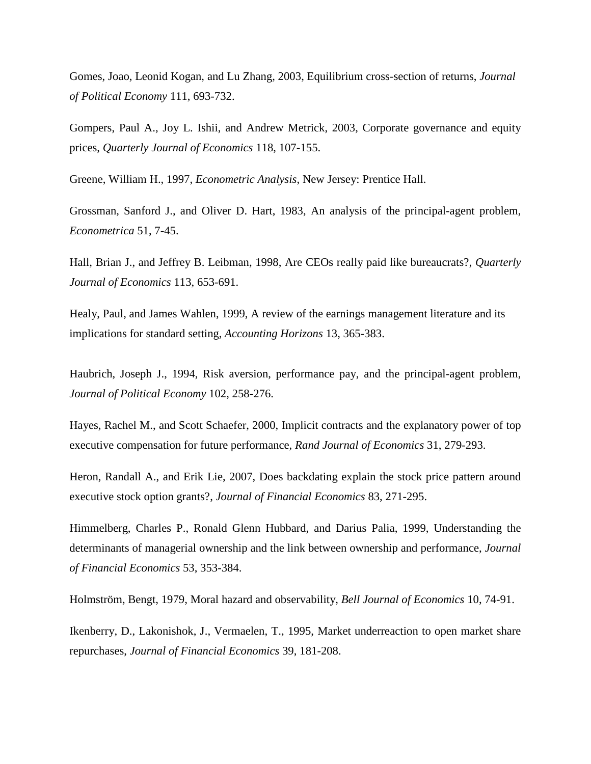Gomes, Joao, Leonid Kogan, and Lu Zhang, 2003, Equilibrium cross-section of returns, *Journal of Political Economy* 111, 693-732.

Gompers, Paul A., Joy L. Ishii, and Andrew Metrick, 2003, Corporate governance and equity prices, *Quarterly Journal of Economics* 118, 107-155.

Greene, William H., 1997, *Econometric Analysis*, New Jersey: Prentice Hall.

Grossman, Sanford J., and Oliver D. Hart, 1983, An analysis of the principal-agent problem, *Econometrica* 51, 7-45.

Hall, Brian J., and Jeffrey B. Leibman, 1998, Are CEOs really paid like bureaucrats?, *Quarterly Journal of Economics* 113, 653-691.

Healy, Paul, and James Wahlen, 1999, A review of the earnings management literature and its implications for standard setting, *Accounting Horizons* 13, 365-383.

Haubrich, Joseph J., 1994, Risk aversion, performance pay, and the principal-agent problem, *Journal of Political Economy* 102, 258-276.

Hayes, Rachel M., and Scott Schaefer, 2000, Implicit contracts and the explanatory power of top executive compensation for future performance, *Rand Journal of Economics* 31, 279-293.

Heron, Randall A., and Erik Lie, 2007, Does backdating explain the stock price pattern around executive stock option grants?, *Journal of Financial Economics* 83, 271-295.

Himmelberg, Charles P., Ronald Glenn Hubbard, and Darius Palia, 1999, Understanding the determinants of managerial ownership and the link between ownership and performance, *Journal of Financial Economics* 53, 353-384.

Holmström, Bengt, 1979, Moral hazard and observability, *Bell Journal of Economics* 10, 74-91.

Ikenberry, D., Lakonishok, J., Vermaelen, T., 1995, Market underreaction to open market share repurchases, *Journal of Financial Economics* 39, 181-208.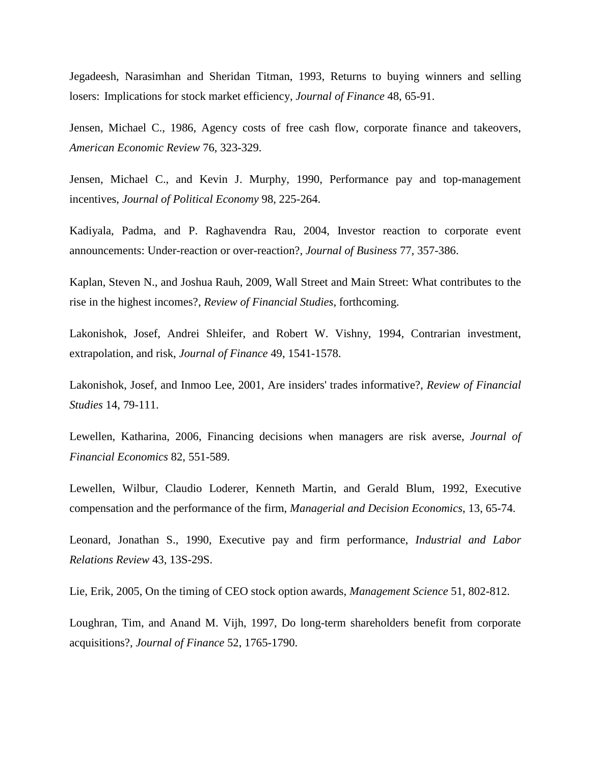Jegadeesh, Narasimhan and Sheridan Titman, 1993, Returns to buying winners and selling losers: Implications for stock market efficiency, *Journal of Finance* 48, 65-91.

Jensen, Michael C., 1986, Agency costs of free cash flow, corporate finance and takeovers, *American Economic Review* 76, 323-329.

Jensen, Michael C., and Kevin J. Murphy, 1990, Performance pay and top-management incentives, *Journal of Political Economy* 98, 225-264.

Kadiyala, Padma, and P. Raghavendra Rau, 2004, Investor reaction to corporate event announcements: Under-reaction or over-reaction?, *Journal of Business* 77, 357-386.

Kaplan, Steven N., and Joshua Rauh, 2009, Wall Street and Main Street: What contributes to the rise in the highest incomes?, *Review of Financial Studies*, forthcoming.

Lakonishok, Josef, Andrei Shleifer, and Robert W. Vishny, 1994, Contrarian investment, extrapolation, and risk, *Journal of Finance* 49, 1541-1578.

Lakonishok, Josef, and Inmoo Lee, 2001, Are insiders' trades informative?, *Review of Financial Studies* 14, 79-111.

Lewellen, Katharina, 2006, Financing decisions when managers are risk averse, *Journal of Financial Economics* 82, 551-589.

Lewellen, Wilbur, Claudio Loderer, Kenneth Martin, and Gerald Blum, 1992, Executive compensation and the performance of the firm, *Managerial and Decision Economics*, 13, 65-74.

Leonard, Jonathan S., 1990, Executive pay and firm performance, *Industrial and Labor Relations Review* 43, 13S-29S.

Lie, Erik, 2005, On the timing of CEO stock option awards, *Management Science* 51, 802-812.

Loughran, Tim, and Anand M. Vijh, 1997, Do long-term shareholders benefit from corporate acquisitions?, *Journal of Finance* 52, 1765-1790.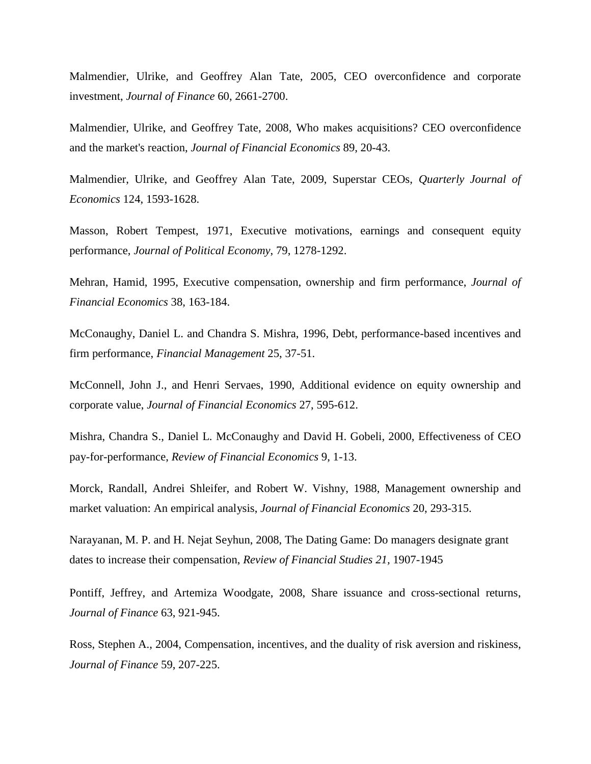Malmendier, Ulrike, and Geoffrey Alan Tate, 2005, CEO overconfidence and corporate investment, *Journal of Finance* 60, 2661-2700.

Malmendier, Ulrike, and Geoffrey Tate, 2008, Who makes acquisitions? CEO overconfidence and the market's reaction, *Journal of Financial Economics* 89, 20-43.

Malmendier, Ulrike, and Geoffrey Alan Tate, 2009, Superstar CEOs, *Quarterly Journal of Economics* 124, 1593-1628.

Masson, Robert Tempest, 1971, Executive motivations, earnings and consequent equity performance, *Journal of Political Economy*, 79, 1278-1292.

Mehran, Hamid, 1995, Executive compensation, ownership and firm performance, *Journal of Financial Economics* 38, 163-184.

McConaughy, Daniel L. and Chandra S. Mishra, 1996, Debt, performance-based incentives and firm performance, *Financial Management* 25, 37-51.

McConnell, John J., and Henri Servaes, 1990, Additional evidence on equity ownership and corporate value, *Journal of Financial Economics* 27, 595-612.

Mishra, Chandra S., Daniel L. McConaughy and David H. Gobeli, 2000, Effectiveness of CEO pay-for-performance, *Review of Financial Economics* 9, 1-13.

Morck, Randall, Andrei Shleifer, and Robert W. Vishny, 1988, Management ownership and market valuation: An empirical analysis, *Journal of Financial Economics* 20, 293-315.

Narayanan, M. P. and H. Nejat Seyhun, 2008, The Dating Game: Do managers designate grant dates to increase their compensation, *Review of Financial Studies 21,* 1907-1945

Pontiff, Jeffrey, and Artemiza Woodgate, 2008, Share issuance and cross-sectional returns, *Journal of Finance* 63, 921-945.

Ross, Stephen A., 2004, Compensation, incentives, and the duality of risk aversion and riskiness, *Journal of Finance* 59, 207-225.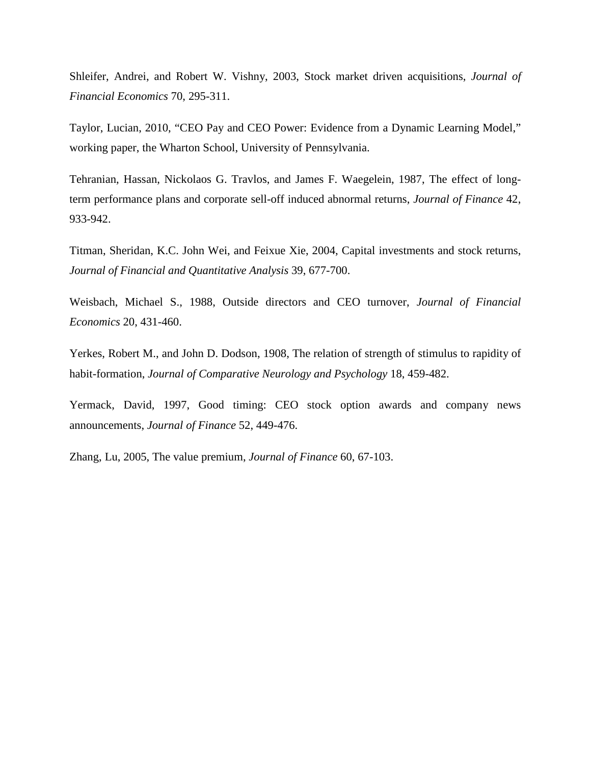Shleifer, Andrei, and Robert W. Vishny, 2003, Stock market driven acquisitions, *Journal of Financial Economics* 70, 295-311.

Taylor, Lucian, 2010, "CEO Pay and CEO Power: Evidence from a Dynamic Learning Model," working paper, the Wharton School, University of Pennsylvania.

Tehranian, Hassan, Nickolaos G. Travlos, and James F. Waegelein, 1987, The effect of longterm performance plans and corporate sell-off induced abnormal returns, *Journal of Finance* 42, 933-942.

Titman, Sheridan, K.C. John Wei, and Feixue Xie, 2004, Capital investments and stock returns, *Journal of Financial and Quantitative Analysis* 39, 677-700.

Weisbach, Michael S., 1988, Outside directors and CEO turnover, *Journal of Financial Economics* 20, 431-460.

Yerkes, Robert M., and John D. Dodson, 1908, The relation of strength of stimulus to rapidity of habit-formation, *Journal of Comparative Neurology and Psychology* 18, 459-482.

Yermack, David, 1997, Good timing: CEO stock option awards and company news announcements, *Journal of Finance* 52, 449-476.

Zhang, Lu, 2005, The value premium, *Journal of Finance* 60, 67-103.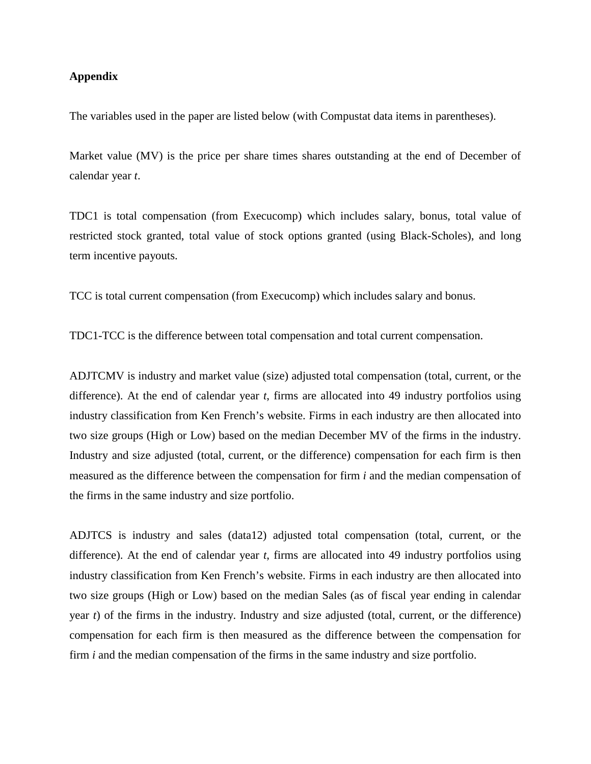## **Appendix**

The variables used in the paper are listed below (with Compustat data items in parentheses).

Market value (MV) is the price per share times shares outstanding at the end of December of calendar year *t*.

TDC1 is total compensation (from Execucomp) which includes salary, bonus, total value of restricted stock granted, total value of stock options granted (using Black-Scholes), and long term incentive payouts.

TCC is total current compensation (from Execucomp) which includes salary and bonus.

TDC1-TCC is the difference between total compensation and total current compensation.

ADJTCMV is industry and market value (size) adjusted total compensation (total, current, or the difference). At the end of calendar year *t*, firms are allocated into 49 industry portfolios using industry classification from Ken French's website. Firms in each industry are then allocated into two size groups (High or Low) based on the median December MV of the firms in the industry. Industry and size adjusted (total, current, or the difference) compensation for each firm is then measured as the difference between the compensation for firm *i* and the median compensation of the firms in the same industry and size portfolio.

ADJTCS is industry and sales (data12) adjusted total compensation (total, current, or the difference). At the end of calendar year *t*, firms are allocated into 49 industry portfolios using industry classification from Ken French's website. Firms in each industry are then allocated into two size groups (High or Low) based on the median Sales (as of fiscal year ending in calendar year *t*) of the firms in the industry. Industry and size adjusted (total, current, or the difference) compensation for each firm is then measured as the difference between the compensation for firm *i* and the median compensation of the firms in the same industry and size portfolio.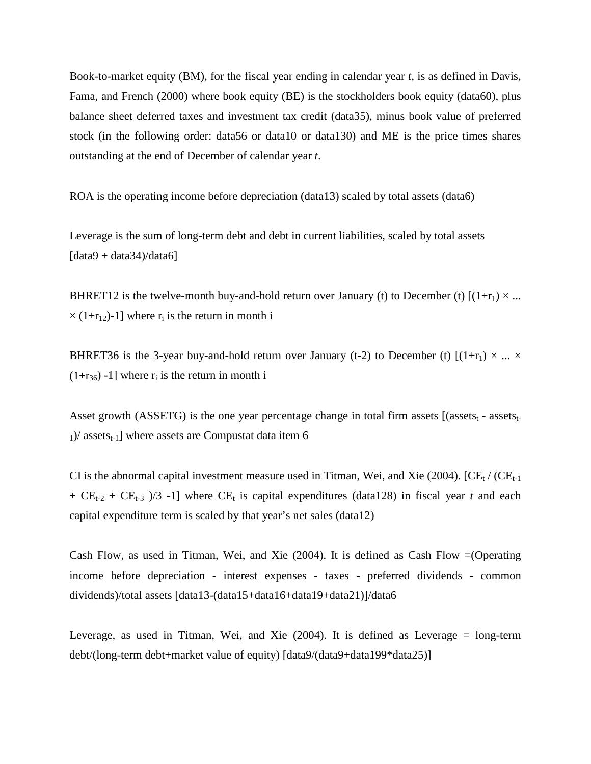Book-to-market equity (BM), for the fiscal year ending in calendar year *t*, is as defined in Davis, Fama, and French (2000) where book equity (BE) is the stockholders book equity (data60), plus balance sheet deferred taxes and investment tax credit (data35), minus book value of preferred stock (in the following order: data56 or data10 or data130) and ME is the price times shares outstanding at the end of December of calendar year *t*.

ROA is the operating income before depreciation (data13) scaled by total assets (data6)

Leverage is the sum of long-term debt and debt in current liabilities, scaled by total assets  $\left[ \frac{data9 + data34}{data6} \right]$ 

BHRET12 is the twelve-month buy-and-hold return over January (t) to December (t)  $[(1+r_1) \times ...$  $\times$  (1+r<sub>12</sub>)-1] where r<sub>i</sub> is the return in month i

BHRET36 is the 3-year buy-and-hold return over January (t-2) to December (t)  $[(1+r_1) \times ... \times$  $(1+r_{36})$  -1] where  $r_i$  is the return in month i

Asset growth (ASSETG) is the one year percentage change in total firm assets  $[($ assets<sub>t-</sub> assets<sub>t-</sub>  $1$ )/ assets<sub>t-1</sub>] where assets are Compustat data item 6

CI is the abnormal capital investment measure used in Titman, Wei, and Xie (2004).  $[CE_t / (CE_{t-1}]$ +  $CE_{t-2}$  +  $CE_{t-3}$  )/3 -1] where  $CE_t$  is capital expenditures (data128) in fiscal year *t* and each capital expenditure term is scaled by that year's net sales (data12)

Cash Flow, as used in Titman, Wei, and Xie (2004). It is defined as Cash Flow =(Operating income before depreciation - interest expenses - taxes - preferred dividends - common dividends)/total assets [data13-(data15+data16+data19+data21)]/data6

Leverage, as used in Titman, Wei, and Xie  $(2004)$ . It is defined as Leverage = long-term debt/(long-term debt+market value of equity) [data9/(data9+data199\*data25)]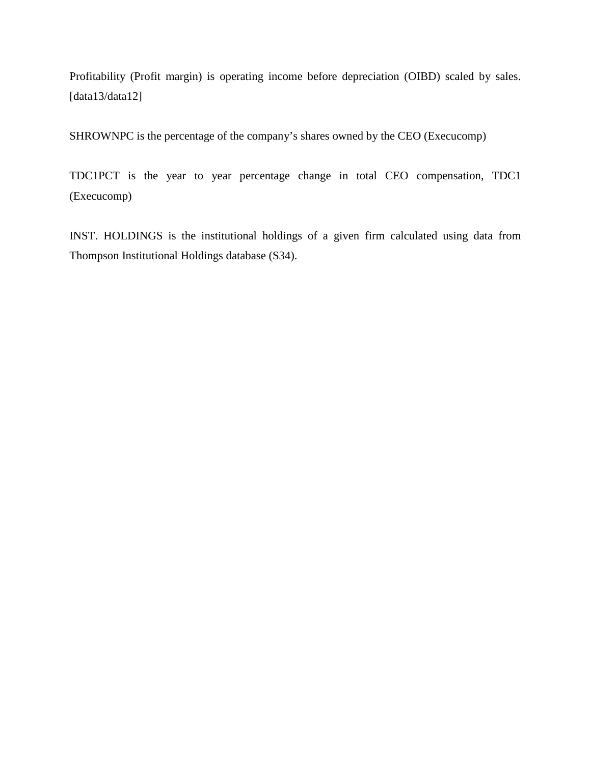Profitability (Profit margin) is operating income before depreciation (OIBD) scaled by sales. [data13/data12]

SHROWNPC is the percentage of the company's shares owned by the CEO (Execucomp)

TDC1PCT is the year to year percentage change in total CEO compensation, TDC1 (Execucomp)

INST. HOLDINGS is the institutional holdings of a given firm calculated using data from Thompson Institutional Holdings database (S34).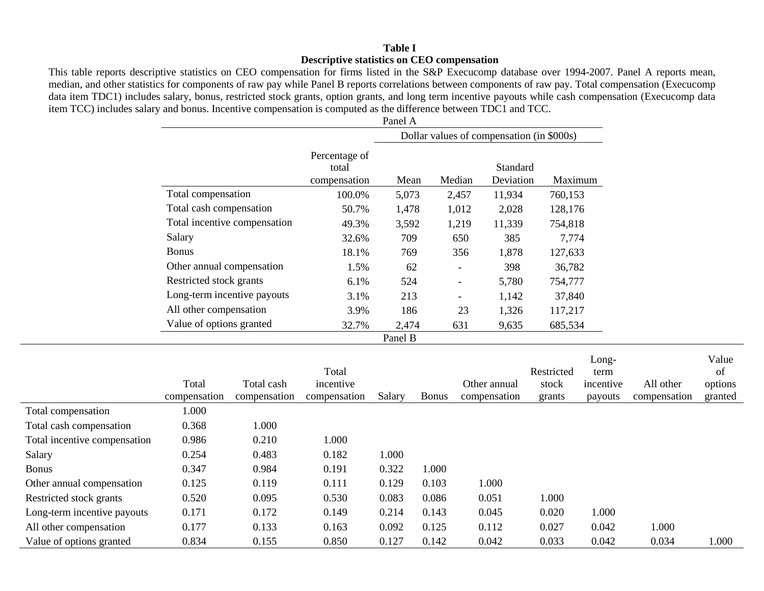## **Table I Descriptive statistics on CEO compensation**

This table reports descriptive statistics on CEO compensation for firms listed in the S&P Execucomp database over 1994-2007. Panel A reports mean, median, and other statistics for components of raw pay while Panel B reports correlations between components of raw pay. Total compensation (Execucomp data item TDC1) includes salary, bonus, restricted stock grants, option grants, and long term incentive payouts while cash compensation (Execucomp data item TCC) includes salary and bonus. Incentive compensation is computed as the difference between TDC1 and TCC.

|                              |                                        | Panel A                                   |                          |                              |         |
|------------------------------|----------------------------------------|-------------------------------------------|--------------------------|------------------------------|---------|
|                              |                                        | Dollar values of compensation (in \$000s) |                          |                              |         |
|                              | Percentage of<br>total<br>compensation | Mean                                      | Median                   | <b>Standard</b><br>Deviation | Maximum |
| Total compensation           | 100.0%                                 | 5,073                                     | 2,457                    | 11,934                       | 760,153 |
| Total cash compensation      | 50.7%                                  | 1,478                                     | 1,012                    | 2,028                        | 128,176 |
| Total incentive compensation | 49.3%                                  | 3,592                                     | 1,219                    | 11,339                       | 754,818 |
| Salary                       | 32.6%                                  | 709                                       | 650                      | 385                          | 7,774   |
| <b>Bonus</b>                 | 18.1%                                  | 769                                       | 356                      | 1,878                        | 127,633 |
| Other annual compensation    | 1.5%                                   | 62                                        |                          | 398                          | 36,782  |
| Restricted stock grants      | $6.1\%$                                | 524                                       | $\overline{\phantom{a}}$ | 5,780                        | 754,777 |
| Long-term incentive payouts  | 3.1%                                   | 213                                       | $\overline{\phantom{a}}$ | 1,142                        | 37,840  |
| All other compensation       | 3.9%                                   | 186                                       | 23                       | 1,326                        | 117,217 |
| Value of options granted     | 32.7%                                  | 2,474                                     | 631                      | 9,635                        | 685,534 |
|                              |                                        | Panel B                                   |                          |                              |         |

|                              | Total<br>compensation | Total cash<br>compensation | Total<br>incentive<br>compensation | Salary | <b>Bonus</b> | Other annual<br>compensation | Restricted<br>stock<br>grants | Long-<br>term<br>incentive<br>payouts | All other<br>compensation | Value<br>of<br>options<br>granted |
|------------------------------|-----------------------|----------------------------|------------------------------------|--------|--------------|------------------------------|-------------------------------|---------------------------------------|---------------------------|-----------------------------------|
| Total compensation           | 1.000                 |                            |                                    |        |              |                              |                               |                                       |                           |                                   |
| Total cash compensation      | 0.368                 | 1.000                      |                                    |        |              |                              |                               |                                       |                           |                                   |
| Total incentive compensation | 0.986                 | 0.210                      | 1.000                              |        |              |                              |                               |                                       |                           |                                   |
| Salary                       | 0.254                 | 0.483                      | 0.182                              | 1.000  |              |                              |                               |                                       |                           |                                   |
| <b>Bonus</b>                 | 0.347                 | 0.984                      | 0.191                              | 0.322  | 1.000        |                              |                               |                                       |                           |                                   |
| Other annual compensation    | 0.125                 | 0.119                      | 0.111                              | 0.129  | 0.103        | 1.000                        |                               |                                       |                           |                                   |
| Restricted stock grants      | 0.520                 | 0.095                      | 0.530                              | 0.083  | 0.086        | 0.051                        | 1.000                         |                                       |                           |                                   |
| Long-term incentive payouts  | 0.171                 | 0.172                      | 0.149                              | 0.214  | 0.143        | 0.045                        | 0.020                         | 1.000                                 |                           |                                   |
| All other compensation       | 0.177                 | 0.133                      | 0.163                              | 0.092  | 0.125        | 0.112                        | 0.027                         | 0.042                                 | 1.000                     |                                   |
| Value of options granted     | 0.834                 | 0.155                      | 0.850                              | 0.127  | 0.142        | 0.042                        | 0.033                         | 0.042                                 | 0.034                     | 1.000                             |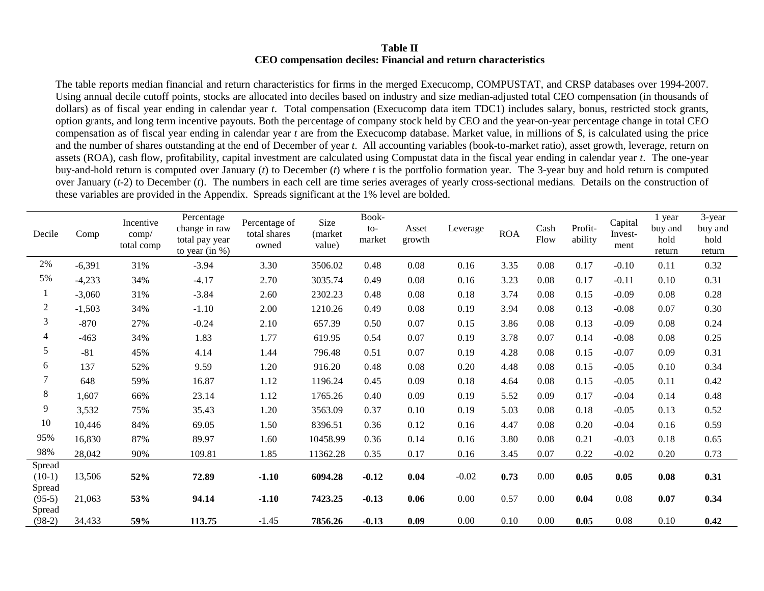## **Table II CEO compensation deciles: Financial and return characteristics**

The table reports median financial and return characteristics for firms in the merged Execucomp, COMPUSTAT, and CRSP databases over 1994-2007. Using annual decile cutoff points, stocks are allocated into deciles based on industry and size median-adjusted total CEO compensation (in thousands of dollars) as of fiscal year ending in calendar year *t*. Total compensation (Execucomp data item TDC1) includes salary, bonus, restricted stock grants, option grants, and long term incentive payouts. Both the percentage of company stock held by CEO and the year-on-year percentage change in total CEO compensation as of fiscal year ending in calendar year *t* are from the Execucomp database. Market value, in millions of \$, is calculated using the price and the number of shares outstanding at the end of December of year *t*. All accounting variables (book-to-market ratio), asset growth, leverage, return on assets (ROA), cash flow, profitability, capital investment are calculated using Compustat data in the fiscal year ending in calendar year *t*. The one-year buy-and-hold return is computed over January (*t*) to December (*t*) where *t* is the portfolio formation year. The 3-year buy and hold return is computed over January (*t*-2) to December (*t*). The numbers in each cell are time series averages of yearly cross-sectional medians. Details on the construction of these variables are provided in the Appendix. Spreads significant at the 1% level are bolded.

| Decile                       | Comp     | Incentive<br>comp/<br>total comp | Percentage<br>change in raw<br>total pay year<br>to year $(in %)$ | Percentage of<br>total shares<br>owned | Size<br>(market<br>value) | Book-<br>$to-$<br>market | Asset<br>growth | Leverage | <b>ROA</b> | Cash<br>Flow | Profit-<br>ability | Capital<br>Invest-<br>ment | year<br>buy and<br>hold<br>return | 3-year<br>buy and<br>hold<br>return |
|------------------------------|----------|----------------------------------|-------------------------------------------------------------------|----------------------------------------|---------------------------|--------------------------|-----------------|----------|------------|--------------|--------------------|----------------------------|-----------------------------------|-------------------------------------|
| 2%                           | $-6,391$ | 31%                              | $-3.94$                                                           | 3.30                                   | 3506.02                   | 0.48                     | 0.08            | 0.16     | 3.35       | 0.08         | 0.17               | $-0.10$                    | 0.11                              | 0.32                                |
| 5%                           | $-4,233$ | 34%                              | $-4.17$                                                           | 2.70                                   | 3035.74                   | 0.49                     | 0.08            | 0.16     | 3.23       | 0.08         | 0.17               | $-0.11$                    | 0.10                              | 0.31                                |
| $\mathbf{1}$                 | $-3,060$ | 31%                              | $-3.84$                                                           | 2.60                                   | 2302.23                   | 0.48                     | 0.08            | 0.18     | 3.74       | 0.08         | 0.15               | $-0.09$                    | 0.08                              | 0.28                                |
| $\boldsymbol{2}$             | $-1,503$ | 34%                              | $-1.10$                                                           | 2.00                                   | 1210.26                   | 0.49                     | 0.08            | 0.19     | 3.94       | 0.08         | 0.13               | $-0.08$                    | 0.07                              | 0.30                                |
| $\mathfrak{Z}$               | $-870$   | 27%                              | $-0.24$                                                           | 2.10                                   | 657.39                    | 0.50                     | 0.07            | 0.15     | 3.86       | 0.08         | 0.13               | $-0.09$                    | 0.08                              | 0.24                                |
| $\overline{4}$               | $-463$   | 34%                              | 1.83                                                              | 1.77                                   | 619.95                    | 0.54                     | 0.07            | 0.19     | 3.78       | 0.07         | 0.14               | $-0.08$                    | 0.08                              | 0.25                                |
| 5                            | $-81$    | 45%                              | 4.14                                                              | 1.44                                   | 796.48                    | 0.51                     | 0.07            | 0.19     | 4.28       | 0.08         | 0.15               | $-0.07$                    | 0.09                              | 0.31                                |
| 6                            | 137      | 52%                              | 9.59                                                              | 1.20                                   | 916.20                    | 0.48                     | 0.08            | 0.20     | 4.48       | 0.08         | 0.15               | $-0.05$                    | 0.10                              | 0.34                                |
| 7                            | 648      | 59%                              | 16.87                                                             | 1.12                                   | 1196.24                   | 0.45                     | 0.09            | 0.18     | 4.64       | 0.08         | 0.15               | $-0.05$                    | 0.11                              | 0.42                                |
| 8                            | 1,607    | 66%                              | 23.14                                                             | 1.12                                   | 1765.26                   | 0.40                     | 0.09            | 0.19     | 5.52       | 0.09         | 0.17               | $-0.04$                    | 0.14                              | 0.48                                |
| 9                            | 3,532    | 75%                              | 35.43                                                             | 1.20                                   | 3563.09                   | 0.37                     | 0.10            | 0.19     | 5.03       | 0.08         | 0.18               | $-0.05$                    | 0.13                              | 0.52                                |
| $10\,$                       | 10,446   | 84%                              | 69.05                                                             | 1.50                                   | 8396.51                   | 0.36                     | 0.12            | 0.16     | 4.47       | 0.08         | 0.20               | $-0.04$                    | 0.16                              | 0.59                                |
| 95%                          | 16,830   | 87%                              | 89.97                                                             | 1.60                                   | 10458.99                  | 0.36                     | 0.14            | 0.16     | 3.80       | 0.08         | 0.21               | $-0.03$                    | 0.18                              | 0.65                                |
| 98%                          | 28,042   | 90%                              | 109.81                                                            | 1.85                                   | 11362.28                  | 0.35                     | 0.17            | 0.16     | 3.45       | 0.07         | 0.22               | $-0.02$                    | 0.20                              | 0.73                                |
| Spread<br>$(10-1)$<br>Spread | 13,506   | 52%                              | 72.89                                                             | $-1.10$                                | 6094.28                   | $-0.12$                  | 0.04            | $-0.02$  | 0.73       | 0.00         | 0.05               | 0.05                       | 0.08                              | 0.31                                |
| $(95-5)$<br>Spread           | 21,063   | 53%                              | 94.14                                                             | $-1.10$                                | 7423.25                   | $-0.13$                  | 0.06            | 0.00     | 0.57       | 0.00         | 0.04               | 0.08                       | 0.07                              | 0.34                                |
| $(98-2)$                     | 34,433   | 59%                              | 113.75                                                            | $-1.45$                                | 7856.26                   | $-0.13$                  | 0.09            | 0.00     | 0.10       | 0.00         | 0.05               | 0.08                       | 0.10                              | 0.42                                |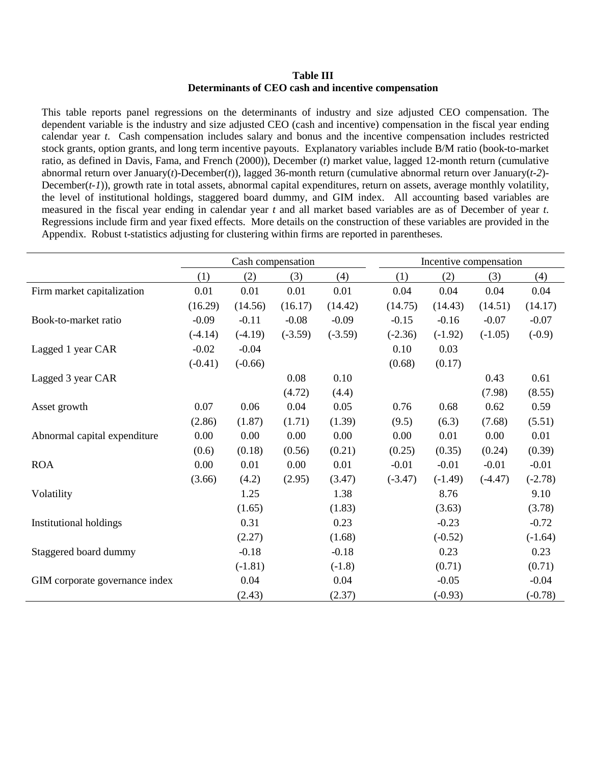### **Table III Determinants of CEO cash and incentive compensation**

This table reports panel regressions on the determinants of industry and size adjusted CEO compensation. The dependent variable is the industry and size adjusted CEO (cash and incentive) compensation in the fiscal year ending calendar year *t*. Cash compensation includes salary and bonus and the incentive compensation includes restricted stock grants, option grants, and long term incentive payouts. Explanatory variables include B/M ratio (book-to-market ratio, as defined in Davis, Fama, and French (2000)), December (*t*) market value, lagged 12-month return (cumulative abnormal return over January(*t*)-December(*t*)), lagged 36-month return (cumulative abnormal return over January(*t-2*)- December(*t-1*)), growth rate in total assets, abnormal capital expenditures, return on assets, average monthly volatility, the level of institutional holdings, staggered board dummy, and GIM index. All accounting based variables are measured in the fiscal year ending in calendar year *t* and all market based variables are as of December of year *t*. Regressions include firm and year fixed effects. More details on the construction of these variables are provided in the Appendix. Robust t-statistics adjusting for clustering within firms are reported in parentheses.

|                                |           |           | Cash compensation |           |           | Incentive compensation |           |           |
|--------------------------------|-----------|-----------|-------------------|-----------|-----------|------------------------|-----------|-----------|
|                                | (1)       | (2)       | (3)               | (4)       | (1)       | (2)                    | (3)       | (4)       |
| Firm market capitalization     | 0.01      | 0.01      | 0.01              | 0.01      | 0.04      | 0.04                   | 0.04      | 0.04      |
|                                | (16.29)   | (14.56)   | (16.17)           | (14.42)   | (14.75)   | (14.43)                | (14.51)   | (14.17)   |
| Book-to-market ratio           | $-0.09$   | $-0.11$   | $-0.08$           | $-0.09$   | $-0.15$   | $-0.16$                | $-0.07$   | $-0.07$   |
|                                | $(-4.14)$ | $(-4.19)$ | $(-3.59)$         | $(-3.59)$ | $(-2.36)$ | $(-1.92)$              | $(-1.05)$ | $(-0.9)$  |
| Lagged 1 year CAR              | $-0.02$   | $-0.04$   |                   |           | 0.10      | 0.03                   |           |           |
|                                | $(-0.41)$ | $(-0.66)$ |                   |           | (0.68)    | (0.17)                 |           |           |
| Lagged 3 year CAR              |           |           | 0.08              | 0.10      |           |                        | 0.43      | 0.61      |
|                                |           |           | (4.72)            | (4.4)     |           |                        | (7.98)    | (8.55)    |
| Asset growth                   | 0.07      | 0.06      | 0.04              | 0.05      | 0.76      | 0.68                   | 0.62      | 0.59      |
|                                | (2.86)    | (1.87)    | (1.71)            | (1.39)    | (9.5)     | (6.3)                  | (7.68)    | (5.51)    |
| Abnormal capital expenditure   | 0.00      | 0.00      | 0.00              | 0.00      | 0.00      | 0.01                   | 0.00      | 0.01      |
|                                | (0.6)     | (0.18)    | (0.56)            | (0.21)    | (0.25)    | (0.35)                 | (0.24)    | (0.39)    |
| <b>ROA</b>                     | 0.00      | 0.01      | 0.00              | 0.01      | $-0.01$   | $-0.01$                | $-0.01$   | $-0.01$   |
|                                | (3.66)    | (4.2)     | (2.95)            | (3.47)    | $(-3.47)$ | $(-1.49)$              | $(-4.47)$ | $(-2.78)$ |
| Volatility                     |           | 1.25      |                   | 1.38      |           | 8.76                   |           | 9.10      |
|                                |           | (1.65)    |                   | (1.83)    |           | (3.63)                 |           | (3.78)    |
| <b>Institutional holdings</b>  |           | 0.31      |                   | 0.23      |           | $-0.23$                |           | $-0.72$   |
|                                |           | (2.27)    |                   | (1.68)    |           | $(-0.52)$              |           | $(-1.64)$ |
| Staggered board dummy          |           | $-0.18$   |                   | $-0.18$   |           | 0.23                   |           | 0.23      |
|                                |           | $(-1.81)$ |                   | $(-1.8)$  |           | (0.71)                 |           | (0.71)    |
| GIM corporate governance index |           | 0.04      |                   | 0.04      |           | $-0.05$                |           | $-0.04$   |
|                                |           | (2.43)    |                   | (2.37)    |           | $(-0.93)$              |           | $(-0.78)$ |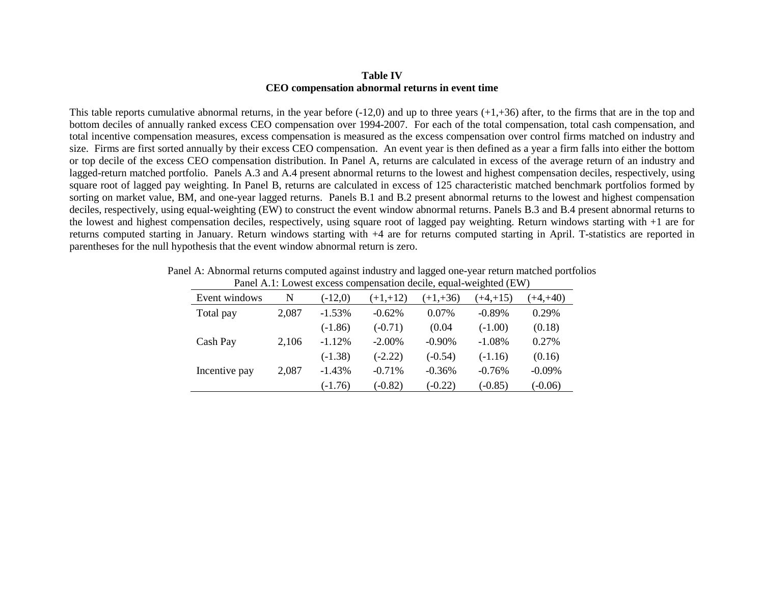#### **Table IV CEO compensation abnormal returns in event time**

This table reports cumulative abnormal returns, in the year before  $(-12,0)$  and up to three years  $(+1, +36)$  after, to the firms that are in the top and bottom deciles of annually ranked excess CEO compensation over 1994-2007. For each of the total compensation, total cash compensation, and total incentive compensation measures, excess compensation is measured as the excess compensation over control firms matched on industry and size. Firms are first sorted annually by their excess CEO compensation. An event year is then defined as a year a firm falls into either the bottom or top decile of the excess CEO compensation distribution. In Panel A, returns are calculated in excess of the average return of an industry and lagged-return matched portfolio. Panels A.3 and A.4 present abnormal returns to the lowest and highest compensation deciles, respectively, using square root of lagged pay weighting. In Panel B, returns are calculated in excess of 125 characteristic matched benchmark portfolios formed by sorting on market value, BM, and one-year lagged returns. Panels B.1 and B.2 present abnormal returns to the lowest and highest compensation deciles, respectively, using equal-weighting (EW) to construct the event window abnormal returns. Panels B.3 and B.4 present abnormal returns to the lowest and highest compensation deciles, respectively, using square root of lagged pay weighting. Return windows starting with +1 are for returns computed starting in January. Return windows starting with +4 are for returns computed starting in April. T-statistics are reported in parentheses for the null hypothesis that the event window abnormal return is zero.

| I and This Bowlon choose compensation acche, equal weighted (BW) |       |           |            |            |             |             |  |
|------------------------------------------------------------------|-------|-----------|------------|------------|-------------|-------------|--|
| Event windows                                                    | N     | $(-12,0)$ | $(+1,+12)$ | $(+1,+36)$ | $(+4, +15)$ | $(+4, +40)$ |  |
| Total pay                                                        | 2,087 | $-1.53%$  | $-0.62%$   | 0.07%      | $-0.89\%$   | 0.29%       |  |
|                                                                  |       | $(-1.86)$ | $(-0.71)$  | (0.04)     | $(-1.00)$   | (0.18)      |  |
| Cash Pay                                                         | 2,106 | $-1.12%$  | $-2.00\%$  | $-0.90%$   | $-1.08%$    | 0.27%       |  |
|                                                                  |       | $(-1.38)$ | $(-2.22)$  | $(-0.54)$  | $(-1.16)$   | (0.16)      |  |
| Incentive pay                                                    | 2,087 | $-1.43%$  | $-0.71\%$  | $-0.36%$   | $-0.76%$    | $-0.09%$    |  |
|                                                                  |       | $(-1.76)$ | $(-0.82)$  | $(-0.22)$  | $(-0.85)$   | $(-0.06)$   |  |

Panel A: Abnormal returns computed against industry and lagged one-year return matched portfolios Panel A.1: Lowest excess compensation decile, equal-weighted (EW)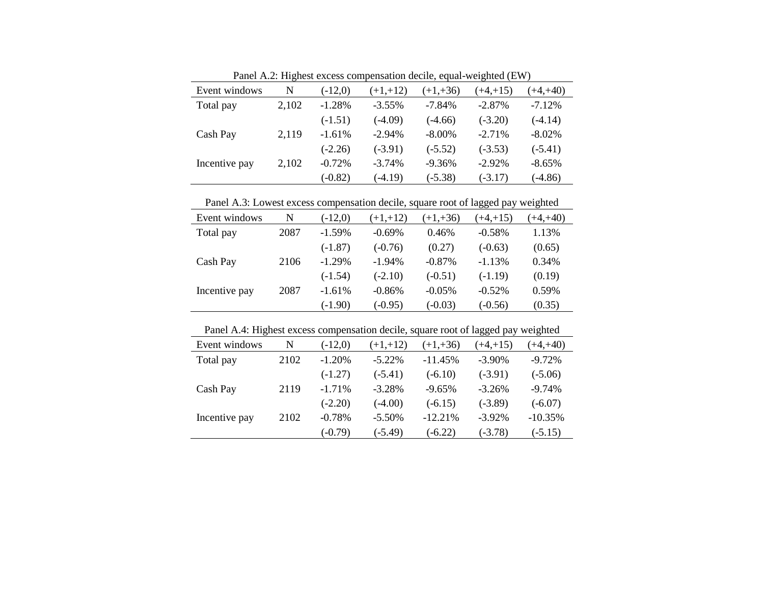|               |       | T and A.2. Thenest excess compensation decire, equal-weighted (E W) |            |            |            |            |  |  |  |  |
|---------------|-------|---------------------------------------------------------------------|------------|------------|------------|------------|--|--|--|--|
| Event windows | N     | $(-12,0)$                                                           | $(+1,+12)$ | $(+1,+36)$ | $(+4,+15)$ | $(+4,+40)$ |  |  |  |  |
| Total pay     | 2,102 | $-1.28%$                                                            | $-3.55\%$  | $-7.84\%$  | $-2.87\%$  | $-7.12%$   |  |  |  |  |
|               |       | $(-1.51)$                                                           | $(-4.09)$  | $(-4.66)$  | $(-3.20)$  | $(-4.14)$  |  |  |  |  |
| Cash Pay      | 2,119 | $-1.61%$                                                            | $-2.94%$   | $-8.00\%$  | $-2.71%$   | $-8.02%$   |  |  |  |  |
|               |       | $(-2.26)$                                                           | $(-3.91)$  | $(-5.52)$  | $(-3.53)$  | $(-5.41)$  |  |  |  |  |
| Incentive pay | 2,102 | $-0.72%$                                                            | $-3.74%$   | $-9.36\%$  | $-2.92%$   | $-8.65%$   |  |  |  |  |
|               |       | $(-0.82)$                                                           | $(-4.19)$  | $(-5.38)$  | $(-3.17)$  | $(-4.86)$  |  |  |  |  |

Panel A.2: Highest excess compensation decile, equal-weighted (EW)

Panel A.3: Lowest excess compensation decile, square root of lagged pay weighted

| Event windows | N    | $(-12,0)$ | $(+1,+12)$ | $(+1,+36)$ | $(+4,+15)$ | $(+4, +40)$ |
|---------------|------|-----------|------------|------------|------------|-------------|
| Total pay     | 2087 | $-1.59%$  | $-0.69%$   | 0.46%      | $-0.58%$   | 1.13%       |
|               |      | $(-1.87)$ | $(-0.76)$  | (0.27)     | $(-0.63)$  | (0.65)      |
| Cash Pay      | 2106 | $-1.29%$  | $-1.94%$   | $-0.87%$   | $-1.13%$   | 0.34%       |
|               |      | $(-1.54)$ | $(-2.10)$  | $(-0.51)$  | $(-1.19)$  | (0.19)      |
| Incentive pay | 2087 | $-1.61%$  | $-0.86%$   | $-0.05\%$  | $-0.52\%$  | 0.59%       |
|               |      | $(-1.90)$ | (-0.95)    | $(-0.03)$  | $(-0.56)$  | (0.35)      |

| Panel A.4: Highest excess compensation decile, square root of lagged pay weighted |      |           |            |            |             |             |  |  |
|-----------------------------------------------------------------------------------|------|-----------|------------|------------|-------------|-------------|--|--|
| Event windows                                                                     | N    | $(-12,0)$ | $(+1,+12)$ | $(+1,+36)$ | $(+4, +15)$ | $(+4, +40)$ |  |  |
| Total pay                                                                         | 2102 | $-1.20%$  | $-5.22\%$  | $-11.45%$  | $-3.90\%$   | $-9.72%$    |  |  |
|                                                                                   |      | $(-1.27)$ | $(-5.41)$  | $(-6.10)$  | $(-3.91)$   | $(-5.06)$   |  |  |
| Cash Pay                                                                          | 2119 | $-1.71%$  | $-3.28%$   | $-9.65%$   | $-3.26%$    | $-9.74%$    |  |  |
|                                                                                   |      | $(-2.20)$ | $(-4.00)$  | $(-6.15)$  | $(-3.89)$   | $(-6.07)$   |  |  |
| Incentive pay                                                                     | 2102 | $-0.78%$  | $-5.50\%$  | $-12.21%$  | $-3.92%$    | $-10.35%$   |  |  |
|                                                                                   |      | $(-0.79)$ | $(-5.49)$  | $(-6.22)$  | $(-3.78)$   | $(-5.15)$   |  |  |

Panel A.4: Highest excess compensation decile, square root of lagged pay weighted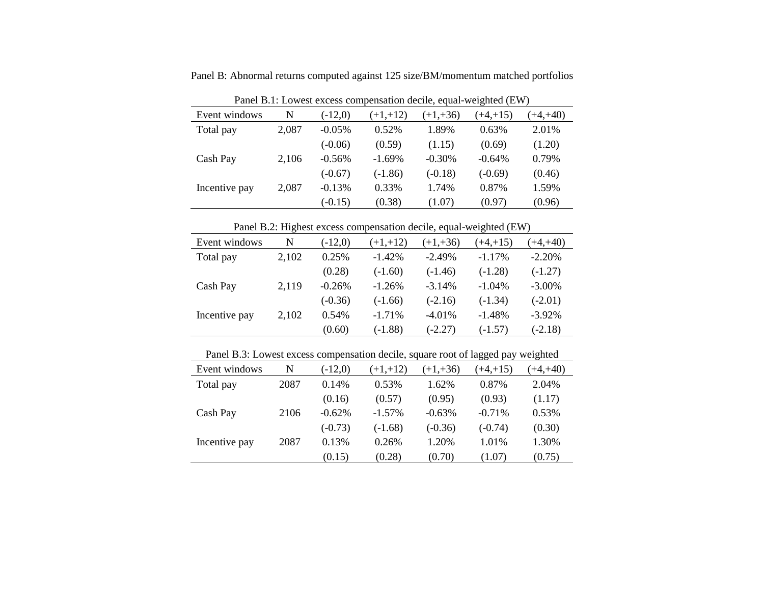Panel B: Abnormal returns computed against 125 size/BM/momentum matched portfolios

|               | I and B.I. Bowest excess compensation accire, equal weighted (B $\eta$ ) |           |            |            |            |             |  |  |  |
|---------------|--------------------------------------------------------------------------|-----------|------------|------------|------------|-------------|--|--|--|
| Event windows | N                                                                        | $(-12,0)$ | $(+1,+12)$ | $(+1,+36)$ | $(+4,+15)$ | $(+4, +40)$ |  |  |  |
| Total pay     | 2,087                                                                    | $-0.05\%$ | 0.52%      | 1.89%      | 0.63%      | 2.01%       |  |  |  |
|               |                                                                          | $(-0.06)$ | (0.59)     | (1.15)     | (0.69)     | (1.20)      |  |  |  |
| Cash Pay      | 2,106                                                                    | $-0.56%$  | $-1.69%$   | $-0.30%$   | $-0.64%$   | 0.79%       |  |  |  |
|               |                                                                          | $(-0.67)$ | $(-1.86)$  | $(-0.18)$  | $(-0.69)$  | (0.46)      |  |  |  |
| Incentive pay | 2,087                                                                    | $-0.13%$  | 0.33%      | 1.74%      | 0.87%      | 1.59%       |  |  |  |
|               |                                                                          | $(-0.15)$ | (0.38)     | (1.07)     | (0.97)     | (0.96)      |  |  |  |

Panel B.1: Lowest excess compensation decile, equal-weighted (EW)

Panel B.2: Highest excess compensation decile, equal-weighted (EW)

| Event windows | N     | $(-12,0)$ | $(+1,+12)$ | $(+1,+36)$ | $(+4, +15)$ | $(+4, +40)$ |
|---------------|-------|-----------|------------|------------|-------------|-------------|
| Total pay     | 2,102 | 0.25%     | $-1.42%$   | $-2.49%$   | $-1.17%$    | $-2.20%$    |
|               |       | (0.28)    | $(-1.60)$  | $(-1.46)$  | $(-1.28)$   | $(-1.27)$   |
| Cash Pay      | 2,119 | $-0.26%$  | $-1.26%$   | $-3.14%$   | $-1.04%$    | $-3.00\%$   |
|               |       | $(-0.36)$ | $(-1.66)$  | $(-2.16)$  | $(-1.34)$   | $(-2.01)$   |
| Incentive pay | 2,102 | 0.54%     | $-1.71%$   | $-4.01%$   | $-1.48%$    | $-3.92%$    |
|               |       | (0.60)    | $(-1.88)$  | $(-2.27)$  | $(-1.57)$   | $(-2.18)$   |

Panel B.3: Lowest excess compensation decile, square root of lagged pay weighted

| Event windows | N    | $(-12,0)$ | $(+1,+12)$ | $(+1,+36)$ | $(+4,+15)$ | $(+4, +40)$ |
|---------------|------|-----------|------------|------------|------------|-------------|
| Total pay     | 2087 | 0.14%     | 0.53%      | 1.62%      | 0.87%      | 2.04%       |
|               |      | (0.16)    | (0.57)     | (0.95)     | (0.93)     | (1.17)      |
| Cash Pay      | 2106 | $-0.62%$  | $-1.57\%$  | $-0.63%$   | $-0.71%$   | 0.53%       |
|               |      | $(-0.73)$ | $(-1.68)$  | $(-0.36)$  | $(-0.74)$  | (0.30)      |
| Incentive pay | 2087 | 0.13%     | 0.26%      | 1.20%      | 1.01%      | 1.30%       |
|               |      | (0.15)    | (0.28)     | (0.70)     | (1.07)     | (0.75)      |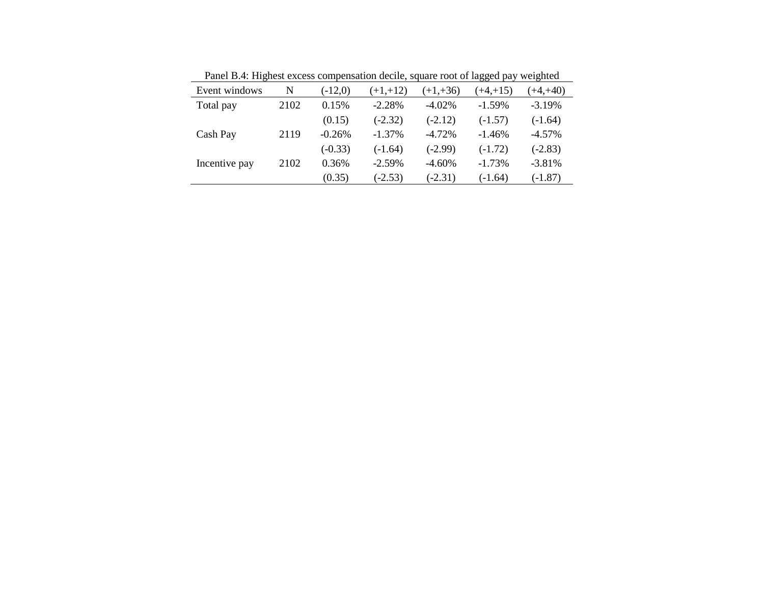| Event windows | N    | $(-12,0)$ | $(+1,+12)$ | $(+1,+36)$ | $(+4,+15)$ | $(+4,+40)$ |
|---------------|------|-----------|------------|------------|------------|------------|
| Total pay     | 2102 | 0.15%     | $-2.28%$   | $-4.02\%$  | $-1.59\%$  | $-3.19%$   |
|               |      | (0.15)    | $(-2.32)$  | $(-2.12)$  | $(-1.57)$  | $(-1.64)$  |
| Cash Pay      | 2119 | $-0.26%$  | $-1.37%$   | $-4.72%$   | $-1.46%$   | $-4.57%$   |
|               |      | $(-0.33)$ | $(-1.64)$  | $(-2.99)$  | $(-1.72)$  | $(-2.83)$  |
| Incentive pay | 2102 | 0.36%     | $-2.59%$   | $-4.60%$   | $-1.73%$   | $-3.81%$   |
|               |      | (0.35)    | $(-2.53)$  | $(-2.31)$  | $(-1.64)$  | $(-1.87)$  |
|               |      |           |            |            |            |            |

Panel B.4: Highest excess compensation decile, square root of lagged pay weighted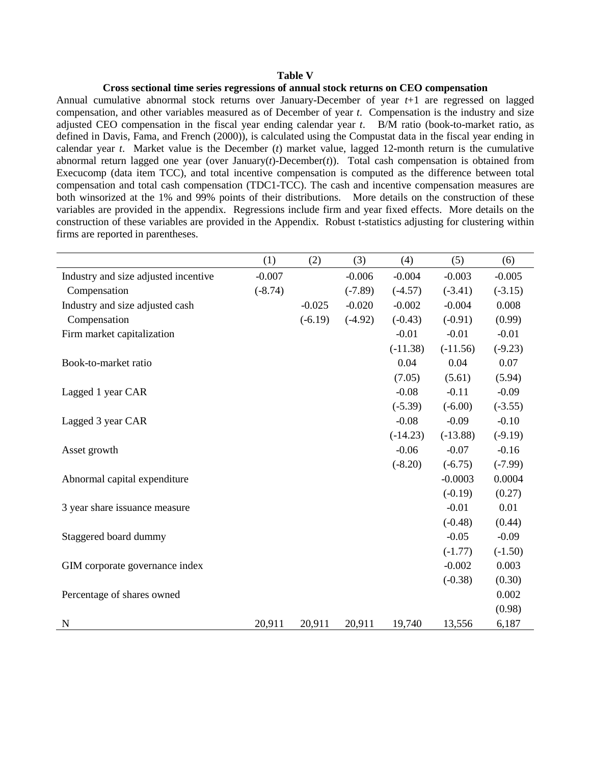#### **Table V**

#### **Cross sectional time series regressions of annual stock returns on CEO compensation**

Annual cumulative abnormal stock returns over January-December of year *t*+1 are regressed on lagged compensation, and other variables measured as of December of year *t*. Compensation is the industry and size adjusted CEO compensation in the fiscal year ending calendar year *t*. B/M ratio (book-to-market ratio, as defined in Davis, Fama, and French (2000)), is calculated using the Compustat data in the fiscal year ending in calendar year *t*. Market value is the December (*t*) market value, lagged 12-month return is the cumulative abnormal return lagged one year (over January(*t*)-December(*t*)). Total cash compensation is obtained from Execucomp (data item TCC), and total incentive compensation is computed as the difference between total compensation and total cash compensation (TDC1-TCC). The cash and incentive compensation measures are both winsorized at the 1% and 99% points of their distributions. More details on the construction of these variables are provided in the appendix. Regressions include firm and year fixed effects. More details on the construction of these variables are provided in the Appendix. Robust t-statistics adjusting for clustering within firms are reported in parentheses.

|                                      | (1)       | (2)       | (3)       | (4)        | (5)        | (6)       |
|--------------------------------------|-----------|-----------|-----------|------------|------------|-----------|
| Industry and size adjusted incentive | $-0.007$  |           | $-0.006$  | $-0.004$   | $-0.003$   | $-0.005$  |
| Compensation                         | $(-8.74)$ |           | $(-7.89)$ | $(-4.57)$  | $(-3.41)$  | $(-3.15)$ |
| Industry and size adjusted cash      |           | $-0.025$  | $-0.020$  | $-0.002$   | $-0.004$   | 0.008     |
| Compensation                         |           | $(-6.19)$ | $(-4.92)$ | $(-0.43)$  | $(-0.91)$  | (0.99)    |
| Firm market capitalization           |           |           |           | $-0.01$    | $-0.01$    | $-0.01$   |
|                                      |           |           |           | $(-11.38)$ | $(-11.56)$ | $(-9.23)$ |
| Book-to-market ratio                 |           |           |           | 0.04       | 0.04       | 0.07      |
|                                      |           |           |           | (7.05)     | (5.61)     | (5.94)    |
| Lagged 1 year CAR                    |           |           |           | $-0.08$    | $-0.11$    | $-0.09$   |
|                                      |           |           |           | $(-5.39)$  | $(-6.00)$  | $(-3.55)$ |
| Lagged 3 year CAR                    |           |           |           | $-0.08$    | $-0.09$    | $-0.10$   |
|                                      |           |           |           | $(-14.23)$ | $(-13.88)$ | $(-9.19)$ |
| Asset growth                         |           |           |           | $-0.06$    | $-0.07$    | $-0.16$   |
|                                      |           |           |           | $(-8.20)$  | $(-6.75)$  | $(-7.99)$ |
| Abnormal capital expenditure         |           |           |           |            | $-0.0003$  | 0.0004    |
|                                      |           |           |           |            | $(-0.19)$  | (0.27)    |
| 3 year share issuance measure        |           |           |           |            | $-0.01$    | 0.01      |
|                                      |           |           |           |            | $(-0.48)$  | (0.44)    |
| Staggered board dummy                |           |           |           |            | $-0.05$    | $-0.09$   |
|                                      |           |           |           |            | $(-1.77)$  | $(-1.50)$ |
| GIM corporate governance index       |           |           |           |            | $-0.002$   | 0.003     |
|                                      |           |           |           |            | $(-0.38)$  | (0.30)    |
| Percentage of shares owned           |           |           |           |            |            | 0.002     |
|                                      |           |           |           |            |            | (0.98)    |
| N                                    | 20,911    | 20,911    | 20,911    | 19,740     | 13,556     | 6,187     |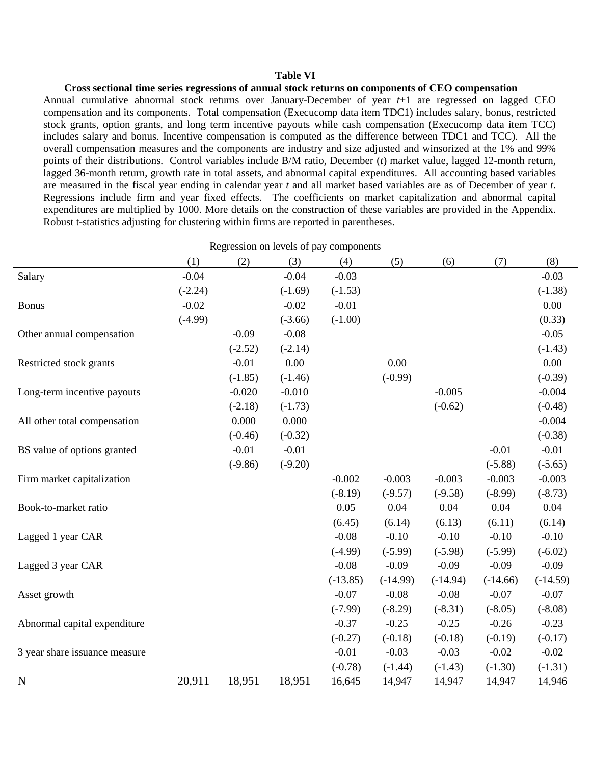#### **Table VI**

**Cross sectional time series regressions of annual stock returns on components of CEO compensation** Annual cumulative abnormal stock returns over January-December of year *t*+1 are regressed on lagged CEO compensation and its components. Total compensation (Execucomp data item TDC1) includes salary, bonus, restricted stock grants, option grants, and long term incentive payouts while cash compensation (Execucomp data item TCC) includes salary and bonus. Incentive compensation is computed as the difference between TDC1 and TCC). All the overall compensation measures and the components are industry and size adjusted and winsorized at the 1% and 99% points of their distributions. Control variables include B/M ratio, December (*t*) market value, lagged 12-month return, lagged 36-month return, growth rate in total assets, and abnormal capital expenditures. All accounting based variables are measured in the fiscal year ending in calendar year *t* and all market based variables are as of December of year *t*. Regressions include firm and year fixed effects. The coefficients on market capitalization and abnormal capital expenditures are multiplied by 1000. More details on the construction of these variables are provided in the Appendix. Robust t-statistics adjusting for clustering within firms are reported in parentheses.

| Regression on levels of pay components |           |           |           |            |            |            |            |            |
|----------------------------------------|-----------|-----------|-----------|------------|------------|------------|------------|------------|
|                                        | (1)       | (2)       | (3)       | (4)        | (5)        | (6)        | (7)        | (8)        |
| Salary                                 | $-0.04$   |           | $-0.04$   | $-0.03$    |            |            |            | $-0.03$    |
|                                        | $(-2.24)$ |           | $(-1.69)$ | $(-1.53)$  |            |            |            | $(-1.38)$  |
| <b>Bonus</b>                           | $-0.02$   |           | $-0.02$   | $-0.01$    |            |            |            | 0.00       |
|                                        | $(-4.99)$ |           | $(-3.66)$ | $(-1.00)$  |            |            |            | (0.33)     |
| Other annual compensation              |           | $-0.09$   | $-0.08$   |            |            |            |            | $-0.05$    |
|                                        |           | $(-2.52)$ | $(-2.14)$ |            |            |            |            | $(-1.43)$  |
| Restricted stock grants                |           | $-0.01$   | 0.00      |            | 0.00       |            |            | 0.00       |
|                                        |           | $(-1.85)$ | $(-1.46)$ |            | $(-0.99)$  |            |            | $(-0.39)$  |
| Long-term incentive payouts            |           | $-0.020$  | $-0.010$  |            |            | $-0.005$   |            | $-0.004$   |
|                                        |           | $(-2.18)$ | $(-1.73)$ |            |            | $(-0.62)$  |            | $(-0.48)$  |
| All other total compensation           |           | 0.000     | 0.000     |            |            |            |            | $-0.004$   |
|                                        |           | $(-0.46)$ | $(-0.32)$ |            |            |            |            | $(-0.38)$  |
| BS value of options granted            |           | $-0.01$   | $-0.01$   |            |            |            | $-0.01$    | $-0.01$    |
|                                        |           | $(-9.86)$ | $(-9.20)$ |            |            |            | $(-5.88)$  | $(-5.65)$  |
| Firm market capitalization             |           |           |           | $-0.002$   | $-0.003$   | $-0.003$   | $-0.003$   | $-0.003$   |
|                                        |           |           |           | $(-8.19)$  | $(-9.57)$  | $(-9.58)$  | $(-8.99)$  | $(-8.73)$  |
| Book-to-market ratio                   |           |           |           | 0.05       | 0.04       | 0.04       | 0.04       | 0.04       |
|                                        |           |           |           | (6.45)     | (6.14)     | (6.13)     | (6.11)     | (6.14)     |
| Lagged 1 year CAR                      |           |           |           | $-0.08$    | $-0.10$    | $-0.10$    | $-0.10$    | $-0.10$    |
|                                        |           |           |           | $(-4.99)$  | $(-5.99)$  | $(-5.98)$  | $(-5.99)$  | $(-6.02)$  |
| Lagged 3 year CAR                      |           |           |           | $-0.08$    | $-0.09$    | $-0.09$    | $-0.09$    | $-0.09$    |
|                                        |           |           |           | $(-13.85)$ | $(-14.99)$ | $(-14.94)$ | $(-14.66)$ | $(-14.59)$ |
| Asset growth                           |           |           |           | $-0.07$    | $-0.08$    | $-0.08$    | $-0.07$    | $-0.07$    |
|                                        |           |           |           | $(-7.99)$  | $(-8.29)$  | $(-8.31)$  | $(-8.05)$  | $(-8.08)$  |
| Abnormal capital expenditure           |           |           |           | $-0.37$    | $-0.25$    | $-0.25$    | $-0.26$    | $-0.23$    |
|                                        |           |           |           | $(-0.27)$  | $(-0.18)$  | $(-0.18)$  | $(-0.19)$  | $(-0.17)$  |
| 3 year share issuance measure          |           |           |           | $-0.01$    | $-0.03$    | $-0.03$    | $-0.02$    | $-0.02$    |
|                                        |           |           |           | $(-0.78)$  | $(-1.44)$  | $(-1.43)$  | $(-1.30)$  | $(-1.31)$  |
| N                                      | 20,911    | 18,951    | 18,951    | 16,645     | 14,947     | 14,947     | 14,947     | 14,946     |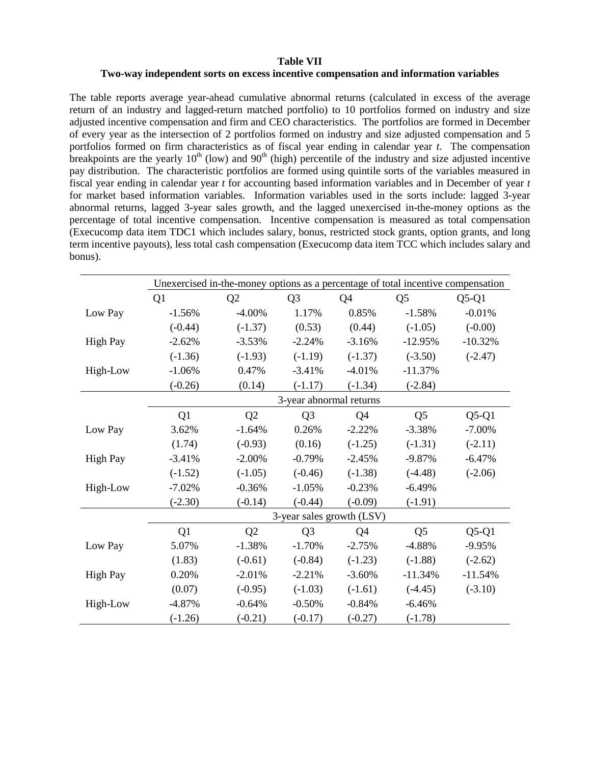### **Table VII Two-way independent sorts on excess incentive compensation and information variables**

The table reports average year-ahead cumulative abnormal returns (calculated in excess of the average return of an industry and lagged-return matched portfolio) to 10 portfolios formed on industry and size adjusted incentive compensation and firm and CEO characteristics. The portfolios are formed in December of every year as the intersection of 2 portfolios formed on industry and size adjusted compensation and 5 portfolios formed on firm characteristics as of fiscal year ending in calendar year *t*. The compensation breakpoints are the yearly  $10<sup>th</sup>$  (low) and  $90<sup>th</sup>$  (high) percentile of the industry and size adjusted incentive pay distribution. The characteristic portfolios are formed using quintile sorts of the variables measured in fiscal year ending in calendar year *t* for accounting based information variables and in December of year *t* for market based information variables. Information variables used in the sorts include: lagged 3-year abnormal returns, lagged 3-year sales growth, and the lagged unexercised in-the-money options as the percentage of total incentive compensation. Incentive compensation is measured as total compensation (Execucomp data item TDC1 which includes salary, bonus, restricted stock grants, option grants, and long term incentive payouts), less total cash compensation (Execucomp data item TCC which includes salary and bonus).

|                 | Unexercised in-the-money options as a percentage of total incentive compensation |                         |                |                           |                |           |  |  |  |  |  |
|-----------------|----------------------------------------------------------------------------------|-------------------------|----------------|---------------------------|----------------|-----------|--|--|--|--|--|
|                 | Q1                                                                               | Q2                      | Q <sub>3</sub> | Q4                        | Q <sub>5</sub> | $Q5-Q1$   |  |  |  |  |  |
| Low Pay         | $-1.56%$                                                                         | $-4.00\%$               | 1.17%          | 0.85%                     | $-1.58%$       | $-0.01%$  |  |  |  |  |  |
|                 | $(-0.44)$                                                                        | $(-1.37)$               | (0.53)         | (0.44)                    | $(-1.05)$      | $(-0.00)$ |  |  |  |  |  |
| <b>High Pay</b> | $-2.62%$                                                                         | $-3.53%$                | $-2.24%$       | $-3.16%$                  | $-12.95%$      | $-10.32%$ |  |  |  |  |  |
|                 | $(-1.36)$                                                                        | $(-1.93)$               | $(-1.19)$      | $(-1.37)$                 | $(-3.50)$      | $(-2.47)$ |  |  |  |  |  |
| High-Low        | $-1.06%$                                                                         | 0.47%                   | $-3.41%$       | $-4.01%$                  | $-11.37%$      |           |  |  |  |  |  |
|                 | $(-0.26)$                                                                        | (0.14)                  | $(-1.17)$      | $(-1.34)$                 | $(-2.84)$      |           |  |  |  |  |  |
|                 |                                                                                  | 3-year abnormal returns |                |                           |                |           |  |  |  |  |  |
|                 | Q1                                                                               | Q2                      | Q <sub>3</sub> | Q <sub>4</sub>            | Q <sub>5</sub> | $Q5-Q1$   |  |  |  |  |  |
| Low Pay         | 3.62%                                                                            | $-1.64%$                | 0.26%          | $-2.22%$                  | $-3.38%$       | $-7.00\%$ |  |  |  |  |  |
|                 | (1.74)                                                                           | $(-0.93)$               | (0.16)         | $(-1.25)$                 | $(-1.31)$      | $(-2.11)$ |  |  |  |  |  |
| <b>High Pay</b> | $-3.41%$                                                                         | $-2.00\%$               | $-0.79%$       | $-2.45%$                  | $-9.87%$       | $-6.47%$  |  |  |  |  |  |
|                 | $(-1.52)$                                                                        | $(-1.05)$               | $(-0.46)$      | $(-1.38)$                 | $(-4.48)$      | $(-2.06)$ |  |  |  |  |  |
| High-Low        | $-7.02%$                                                                         | $-0.36%$                | $-1.05%$       | $-0.23%$                  | $-6.49%$       |           |  |  |  |  |  |
|                 | $(-2.30)$                                                                        | $(-0.14)$               | $(-0.44)$      | $(-0.09)$                 | $(-1.91)$      |           |  |  |  |  |  |
|                 |                                                                                  |                         |                | 3-year sales growth (LSV) |                |           |  |  |  |  |  |
|                 | Q <sub>1</sub>                                                                   | Q <sub>2</sub>          | Q <sub>3</sub> | Q <sub>4</sub>            | Q <sub>5</sub> | $Q5-Q1$   |  |  |  |  |  |
| Low Pay         | 5.07%                                                                            | $-1.38%$                | $-1.70%$       | $-2.75%$                  | $-4.88%$       | $-9.95%$  |  |  |  |  |  |
|                 | (1.83)                                                                           | $(-0.61)$               | $(-0.84)$      | $(-1.23)$                 | $(-1.88)$      | $(-2.62)$ |  |  |  |  |  |
| <b>High Pay</b> | 0.20%                                                                            | $-2.01%$                | $-2.21%$       | $-3.60%$                  | $-11.34%$      | $-11.54%$ |  |  |  |  |  |
|                 | (0.07)                                                                           | $(-0.95)$               | $(-1.03)$      | $(-1.61)$                 | $(-4.45)$      | $(-3.10)$ |  |  |  |  |  |
| High-Low        | $-4.87%$                                                                         | $-0.64%$                | $-0.50%$       | $-0.84%$                  | $-6.46%$       |           |  |  |  |  |  |
|                 | $(-1.26)$                                                                        | $(-0.21)$               | $(-0.17)$      | $(-0.27)$                 | $(-1.78)$      |           |  |  |  |  |  |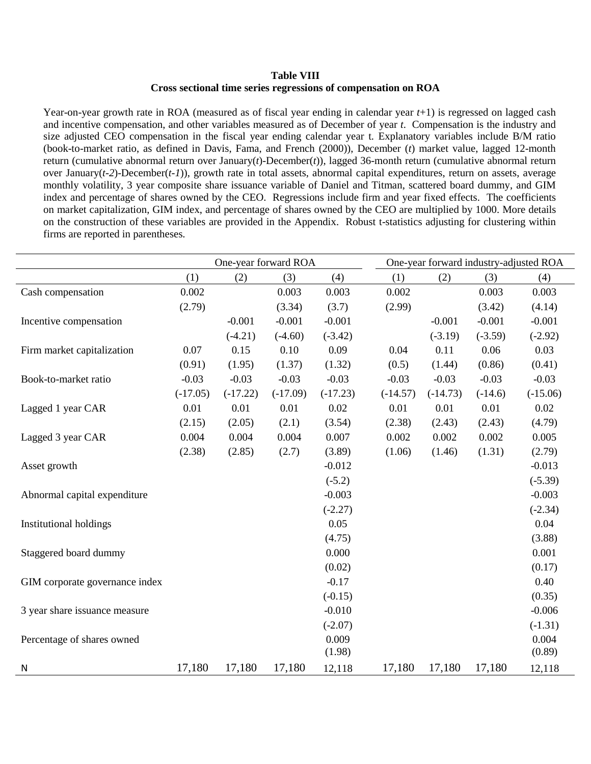## **Table VIII Cross sectional time series regressions of compensation on ROA**

Year-on-year growth rate in ROA (measured as of fiscal year ending in calendar year  $t+1$ ) is regressed on lagged cash and incentive compensation, and other variables measured as of December of year *t*. Compensation is the industry and size adjusted CEO compensation in the fiscal year ending calendar year t. Explanatory variables include B/M ratio (book-to-market ratio, as defined in Davis, Fama, and French (2000)), December (*t*) market value, lagged 12-month return (cumulative abnormal return over January(*t*)-December(*t*)), lagged 36-month return (cumulative abnormal return over January(*t-2*)-December(*t-1*)), growth rate in total assets, abnormal capital expenditures, return on assets, average monthly volatility, 3 year composite share issuance variable of Daniel and Titman, scattered board dummy, and GIM index and percentage of shares owned by the CEO. Regressions include firm and year fixed effects. The coefficients on market capitalization, GIM index, and percentage of shares owned by the CEO are multiplied by 1000. More details on the construction of these variables are provided in the Appendix. Robust t-statistics adjusting for clustering within firms are reported in parentheses.

|                                |            | One-year forward ROA |            |            | One-year forward industry-adjusted ROA |            |           |            |
|--------------------------------|------------|----------------------|------------|------------|----------------------------------------|------------|-----------|------------|
|                                | (1)        | (2)                  | (3)        | (4)        | (1)                                    | (2)        | (3)       | (4)        |
| Cash compensation              | 0.002      |                      | 0.003      | 0.003      | 0.002                                  |            | 0.003     | 0.003      |
|                                | (2.79)     |                      | (3.34)     | (3.7)      | (2.99)                                 |            | (3.42)    | (4.14)     |
| Incentive compensation         |            | $-0.001$             | $-0.001$   | $-0.001$   |                                        | $-0.001$   | $-0.001$  | $-0.001$   |
|                                |            | $(-4.21)$            | $(-4.60)$  | $(-3.42)$  |                                        | $(-3.19)$  | $(-3.59)$ | $(-2.92)$  |
| Firm market capitalization     | 0.07       | 0.15                 | 0.10       | 0.09       | 0.04                                   | 0.11       | 0.06      | 0.03       |
|                                | (0.91)     | (1.95)               | (1.37)     | (1.32)     | (0.5)                                  | (1.44)     | (0.86)    | (0.41)     |
| Book-to-market ratio           | $-0.03$    | $-0.03$              | $-0.03$    | $-0.03$    | $-0.03$                                | $-0.03$    | $-0.03$   | $-0.03$    |
|                                | $(-17.05)$ | $(-17.22)$           | $(-17.09)$ | $(-17.23)$ | $(-14.57)$                             | $(-14.73)$ | $(-14.6)$ | $(-15.06)$ |
| Lagged 1 year CAR              | 0.01       | 0.01                 | 0.01       | 0.02       | 0.01                                   | 0.01       | 0.01      | 0.02       |
|                                | (2.15)     | (2.05)               | (2.1)      | (3.54)     | (2.38)                                 | (2.43)     | (2.43)    | (4.79)     |
| Lagged 3 year CAR              | 0.004      | 0.004                | 0.004      | 0.007      | 0.002                                  | 0.002      | 0.002     | 0.005      |
|                                | (2.38)     | (2.85)               | (2.7)      | (3.89)     | (1.06)                                 | (1.46)     | (1.31)    | (2.79)     |
| Asset growth                   |            |                      |            | $-0.012$   |                                        |            |           | $-0.013$   |
|                                |            |                      |            | $(-5.2)$   |                                        |            |           | $(-5.39)$  |
| Abnormal capital expenditure   |            |                      |            | $-0.003$   |                                        |            |           | $-0.003$   |
|                                |            |                      |            | $(-2.27)$  |                                        |            |           | $(-2.34)$  |
| <b>Institutional holdings</b>  |            |                      |            | 0.05       |                                        |            |           | 0.04       |
|                                |            |                      |            | (4.75)     |                                        |            |           | (3.88)     |
| Staggered board dummy          |            |                      |            | 0.000      |                                        |            |           | 0.001      |
|                                |            |                      |            | (0.02)     |                                        |            |           | (0.17)     |
| GIM corporate governance index |            |                      |            | $-0.17$    |                                        |            |           | 0.40       |
|                                |            |                      |            | $(-0.15)$  |                                        |            |           | (0.35)     |
| 3 year share issuance measure  |            |                      |            | $-0.010$   |                                        |            |           | $-0.006$   |
|                                |            |                      |            | $(-2.07)$  |                                        |            |           | $(-1.31)$  |
| Percentage of shares owned     |            |                      |            | 0.009      |                                        |            |           | 0.004      |
|                                |            |                      |            | (1.98)     |                                        |            |           | (0.89)     |
| N                              | 17,180     | 17,180               | 17,180     | 12,118     | 17,180                                 | 17,180     | 17,180    | 12,118     |